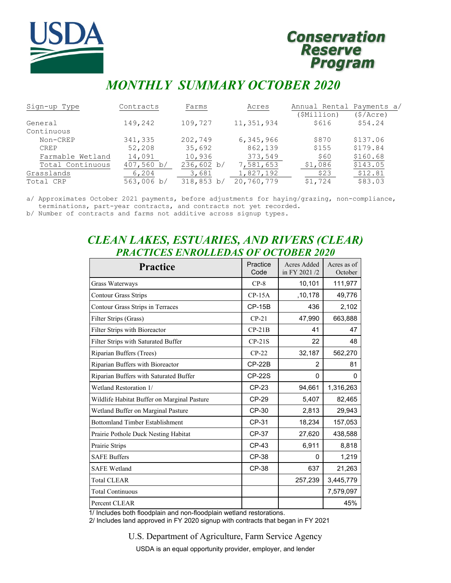

# **Conservation Reserve Program**

# *MONTHLY SUMMARY OCTOBER 2020*

| Sign-up Type     | Contracts  | Farms      | Acres      | Annual Rental Payments a/ |          |
|------------------|------------|------------|------------|---------------------------|----------|
|                  |            |            |            | (\$Million)               | (S/Acre) |
| General          | 149,242    | 109,727    | 11,351,934 | \$616                     | \$54.24  |
| Continuous       |            |            |            |                           |          |
| Non-CREP         | 341,335    | 202,749    | 6,345,966  | \$870                     | \$137.06 |
| <b>CREP</b>      | 52,208     | 35,692     | 862,139    | \$155                     | \$179.84 |
| Farmable Wetland | 14,091     | 10,936     | 373,549    | \$60                      | \$160.68 |
| Total Continuous | 407,560 b/ | 236,602 b/ | 7,581,653  | \$1,086                   | \$143.05 |
| Grasslands       | 6,204      | 3,681      | 1,827,192  | \$23                      | \$12.81  |
| Total CRP        | 563,006 b/ | 318,853 b/ | 20,760,779 | \$1,724                   | \$83.03  |

a/ Approximates October 2021 payments, before adjustments for haying/grazing, non-compliance, terminations, part-year contracts, and contracts not yet recorded.

b/ Number of contracts and farms not additive across signup types.

# *CLEAN LAKES, ESTUARIES, AND RIVERS (CLEAR) PRACTICES ENROLLEDAS OF OCTOBER 2020*

| <b>Practice</b>                             | Practice<br>Code | <b>Acres Added</b><br>in FY 2021/2 | Acres as of<br>October |
|---------------------------------------------|------------------|------------------------------------|------------------------|
| Grass Waterways                             | $CP-8$           | 10,101                             | 111,977                |
| <b>Contour Grass Strips</b>                 | $CP-15A$         | ,10,178                            | 49,776                 |
| Contour Grass Strips in Terraces            | $CP-15B$         | 436                                | 2,102                  |
| Filter Strips (Grass)                       | $CP-21$          | 47,990                             | 663,888                |
| Filter Strips with Bioreactor               | $CP-21B$         | 41                                 | 47                     |
| Filter Strips with Saturated Buffer         | $CP-21S$         | 22                                 | 48                     |
| Riparian Buffers (Trees)                    | $CP-22$          | 32,187                             | 562,270                |
| Riparian Buffers with Bioreactor            | $CP-22B$         | 2                                  | 81                     |
| Riparian Buffers with Saturated Buffer      | <b>CP-22S</b>    | 0                                  | 0                      |
| Wetland Restoration 1/                      | CP-23            | 94,661                             | 1,316,263              |
| Wildlife Habitat Buffer on Marginal Pasture | CP-29            | 5,407                              | 82,465                 |
| Wetland Buffer on Marginal Pasture          | CP-30            | 2,813                              | 29,943                 |
| <b>Bottomland Timber Establishment</b>      | CP-31            | 18,234                             | 157,053                |
| Prairie Pothole Duck Nesting Habitat        | <b>CP-37</b>     | 27,620                             | 438,588                |
| Prairie Strips                              | CP-43            | 6,911                              | 8,818                  |
| <b>SAFE Buffers</b>                         | CP-38            | 0                                  | 1,219                  |
| <b>SAFE Wetland</b>                         | <b>CP-38</b>     | 637                                | 21,263                 |
| <b>Total CLEAR</b>                          |                  | 257,239                            | 3,445,779              |
| <b>Total Continuous</b>                     |                  |                                    | 7,579,097              |
| Percent CLEAR                               |                  |                                    | 45%                    |

1/ Includes both floodplain and non-floodplain wetland restorations.

2/ Includes land approved in FY 2020 signup with contracts that began in FY 2021

U.S. Department of Agriculture, Farm Service Agency

USDA is an equal opportunity provider, employer, and lender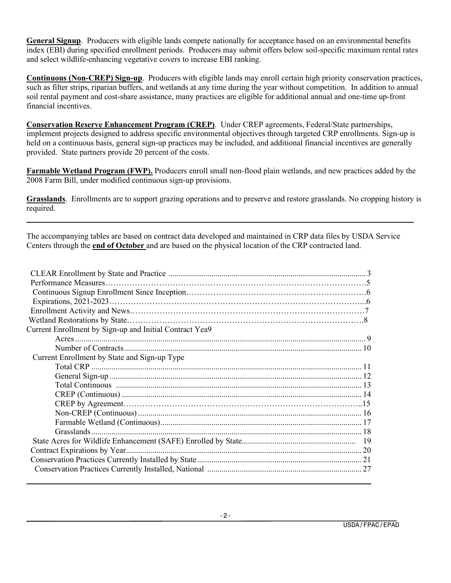**General Signup**. Producers with eligible lands compete nationally for acceptance based on an environmental benefits index (EBI) during specified enrollment periods. Producers may submit offers below soil-specific maximum rental rates and select wildlife-enhancing vegetative covers to increase EBI ranking.

**Continuous (Non-CREP) Sign-up**. Producers with eligible lands may enroll certain high priority conservation practices, such as filter strips, riparian buffers, and wetlands at any time during the year without competition. In addition to annual soil rental payment and cost-share assistance, many practices are eligible for additional annual and one-time up-front financial incentives.

**Conservation Reserve Enhancement Program (CREP)**. Under CREP agreements, Federal/State partnerships, implement projects designed to address specific environmental objectives through targeted CRP enrollments. Sign-up is held on a continuous basis, general sign-up practices may be included, and additional financial incentives are generally provided. State partners provide 20 percent of the costs.

**Farmable Wetland Program (FWP).** Producers enroll small non-flood plain wetlands, and new practices added by the 2008 Farm Bill, under modified continuous sign-up provisions.

**Grasslands**. Enrollments are to support grazing operations and to preserve and restore grasslands. No cropping history is required.

The accompanying tables are based on contract data developed and maintained in CRP data files by USDA Service Centers through the **end of October** and are based on the physical location of the CRP contracted land.

| Current Enrollment by Sign-up and Initial Contract Yea9 |  |
|---------------------------------------------------------|--|
|                                                         |  |
|                                                         |  |
| Current Enrollment by State and Sign-up Type            |  |
|                                                         |  |
|                                                         |  |
|                                                         |  |
|                                                         |  |
|                                                         |  |
|                                                         |  |
|                                                         |  |
|                                                         |  |
|                                                         |  |
|                                                         |  |
|                                                         |  |
|                                                         |  |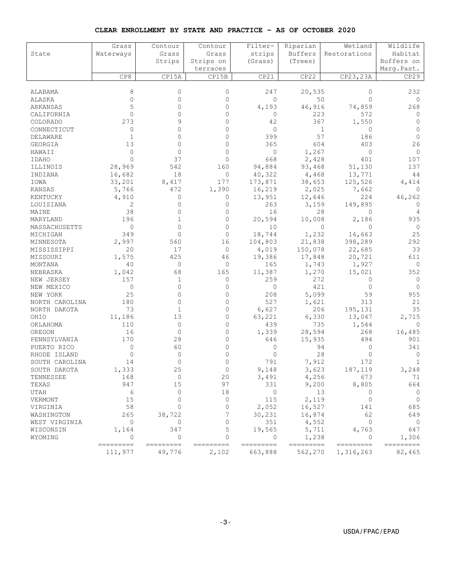| CLEAR ENROLLMENT BY STATE AND PRACTICE - AS OF OCTOBER 2020 |  |  |  |
|-------------------------------------------------------------|--|--|--|
|-------------------------------------------------------------|--|--|--|

|                | Grass                | Contour            | Contour        | Filter-              | Riparian             | Wetland                | Wildlife            |
|----------------|----------------------|--------------------|----------------|----------------------|----------------------|------------------------|---------------------|
| State          | Waterways            | Grass              | Grass          | strips               | Buffers              | Restorations           | Habitat             |
|                |                      | Strips             | Strips on      | (Grass)              | (Trees)              |                        | Buffers on          |
|                |                      |                    | terraces       |                      |                      |                        | Marq.Past.          |
|                | CP8                  | CP15A              | CP15B          | CP21                 | CP22                 | CP23,23A               | CP29                |
|                |                      |                    |                |                      |                      |                        |                     |
| ALABAMA        | 8                    | 0                  | 0              | 247                  | 20,535               | 0                      | 232                 |
| ALASKA         | $\mathbf{0}$         | $\Omega$           | $\mathbf{0}$   | $\mathbf{0}$         |                      | 50<br>$\Omega$         | 0                   |
| ARKANSAS       | 5                    | $\Omega$           | $\Omega$       | 4,193                | 46,916               | 74,859                 | 268                 |
| CALIFORNIA     | $\circ$              | $\Omega$           | $\mathbf{0}$   | 0                    | 223                  | 572                    | 0                   |
| COLORADO       | 273                  |                    | $\Omega$       | 42                   | 367                  | 1,550                  | $\Omega$            |
| CONNECTICUT    | 0                    | ∩                  | $\Omega$       | 0                    |                      | $\mathbf{1}$<br>0      | $\Omega$            |
| DELAWARE       | $\mathbf{1}$         | $\Omega$           | $\Omega$       | 399                  | 57                   | 186                    | $\Omega$            |
| GEORGIA        | 13                   | $\Omega$           | $\mathbf{0}$   | 365                  | 604                  | 403                    | 26                  |
| HAWAII         | $\circ$              | $\mathbf{0}$       | $\Omega$       | 0                    | 1,267                | $\circ$                | $\circ$             |
| IDAHO          | $\Omega$             | 37                 | $\Omega$       | 668                  | 2,428                | 401                    | 107                 |
| ILLINOIS       | 28,969               | 542                | 160            | 94,884               | 93,468               | 51,130                 | 137                 |
| INDIANA        | 16,682               | 18                 | 0              | 40,322               | 4,468                | 13,771                 | 44                  |
| IOWA           | 33,201               | 8,417              | 177            | 173,871              | 38,653               | 125,526                | 4,414               |
| KANSAS         | 5,766                | 472                | 1,390          | 16,219               | 2,025                | 7,662                  | 0                   |
| KENTUCKY       | 4,910                | $\mathbf{0}$       | 0              | 13,951               | 12,646               | 224                    | 46,262              |
| LOUISIANA      | 2                    | $\Omega$           | $\mathbf{0}$   | 263                  | 3,159                | 149,895                | 0                   |
| MAINE          | 38                   | $\Omega$           | $\Omega$       | 16                   |                      | 28<br>0                | 4                   |
| MARYLAND       | 196                  | 1                  | $\mathbf{0}$   | 20,594               | 10,008               | 2,186                  | 935                 |
| MASSACHUSETTS  | 0                    | $\Omega$           | $\Omega$       | 10                   |                      | 0<br>$\Omega$          | $\circ$             |
| MICHIGAN       | 349                  | $\Omega$           | $\Omega$       | 18,744               | 1,232                | 16,663                 | 25                  |
| MINNESOTA      | 2,997                | 560                | 16             | 104,803              | 21,838               | 398,289                | 292                 |
| MISSISSIPPI    | 20                   | 17                 | $\circ$        | 4,019                | 150,078              | 22,685                 | 33                  |
| MISSOURI       | 1,575                | 425                | 46             | 19,386               | 17,848               | 20,721                 | 611                 |
| MONTANA        | 40                   | 0                  | 0              | 165                  | 1,743                | 1,927                  | 0                   |
| NEBRASKA       | 1,042                | 68                 | 165            | 11,387               | 1,270                | 15,021                 | 352                 |
| NEW JERSEY     | 157                  | 1                  | 0              | 259                  | 272                  | $\Omega$               | 0                   |
| NEW MEXICO     | 0                    | $\Omega$           | $\mathbf{0}$   | 0                    | 421                  | 0                      | $\Omega$            |
| NEW YORK       | 25                   | $\mathbf{0}$       | 0              | 208                  | 5,099                | 59                     | 955                 |
| NORTH CAROLINA | 180                  | $\Omega$           | $\mathbf{0}$   | 527                  | 1,621                | 313                    | 21                  |
| NORTH DAKOTA   | 73                   | $\mathbf{1}$       | $\Omega$       | 6,627                | 206                  | 195,131                | 35                  |
| OHIO           | 11,186               | 13                 | 0              | 63,221               | 6,330                | 13,047                 | 2,715               |
| OKLAHOMA       | 110                  | $\mathbf{0}$       | $\mathbf{0}$   | 439                  | 735                  | 1,544                  | $\Omega$            |
| OREGON         | 16                   | $\mathbf{0}$       | $\Omega$       | 1,339                | 28,594               | 268                    | 16,485              |
| PENNSYLVANIA   | 170                  | 28                 | $\mathbf{0}$   | 646                  | 15,935               | 494                    | 901                 |
| PUERTO RICO    | $\circ$              | 60                 | $\mathbf{0}$   | 0                    |                      | 94<br>0                | 341                 |
| RHODE ISLAND   | 0                    | 0                  | $\Omega$       | 0                    |                      | 28<br>$\Omega$         | 0                   |
| SOUTH CAROLINA | 14                   | 0                  | $\mathbf{0}$   | 791                  | 7,912                | 172                    | 1                   |
| SOUTH DAKOTA   | 1,333                | 25                 | $\circ$        | 9,148                | 3,623                | 187,119                | 3,248               |
| TENNESSEE      | 168                  | 0                  | 20             | 3,491                | 4,256                | 673                    | 71                  |
| TEXAS          | 947                  | 15                 | 97             | 331                  | 9,200                | 8,805                  | 664                 |
| UTAH           | $\epsilon$           | $\circ$            | 18             | 0                    |                      | 13<br>0                | $\mathbf 0$         |
| VERMONT        | 15                   | $\Omega$           | $\circ$        | 115                  | 2,119                | $\circ$                | $\circ$             |
| VIRGINIA       | 58                   | $\Omega$           | $\Omega$       | 2,052                | 16,527               | 141                    | 685                 |
| WASHINGTON     | 265                  | 38,722             | 7              | 30,231               | 16,874               | 62                     | 649                 |
| WEST VIRGINIA  | $\circ$              | $\circ$            | $\Omega$       | 351                  | 4,552                | $\circ$                | $\circ$             |
| WISCONSIN      | 1,164                | 347                | 5              | 19,565               | 5,711                | 4,763                  | 647                 |
| WYOMING        | $\Omega$             | 0                  | $\Omega$       | 0                    | 1,238                | 0                      | 1,306               |
|                | ---------<br>111,977 | ========<br>49,776 | =====<br>2,102 | =========<br>663,888 | ---------<br>562,270 | =========<br>1,316,263 | ---------<br>82,465 |
|                |                      |                    |                |                      |                      |                        |                     |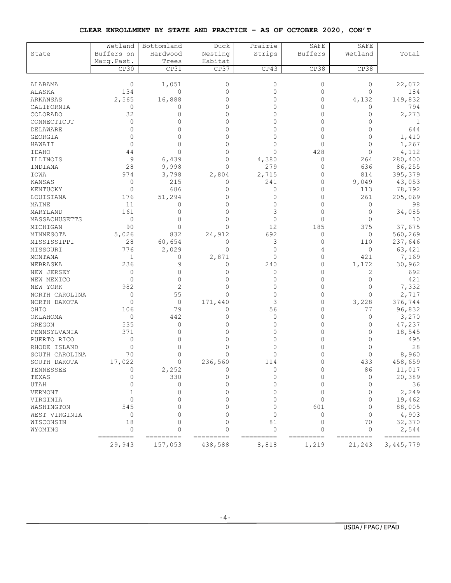#### **CLEAR ENROLLMENT BY STATE AND PRACTICE – AS OF OCTOBER 2020, CON'T**

|                | Wetland             | Bottomland           | Duck                 | Prairie            | SAFE               | SAFE                |                        |
|----------------|---------------------|----------------------|----------------------|--------------------|--------------------|---------------------|------------------------|
| State          | Buffers on          | Hardwood             | Nesting              | Strips             | <b>Buffers</b>     | Wetland             | Total                  |
|                | Marq. Past.         | Trees                | Habitat              |                    |                    |                     |                        |
|                | CP30                | CP31                 | CP37                 | CP43               | CP38               | CP38                |                        |
| ALABAMA        | 0                   | 1,051                | $\mathbf{0}$         | 0                  | 0                  | 0                   | 22,072                 |
| ALASKA         | 134                 | 0                    | $\Omega$             | $\Omega$           | $\Omega$           | $\Omega$            | 184                    |
| ARKANSAS       | 2,565               | 16,888               | 0                    | 0                  | 0                  | 4,132               | 149,832                |
| CALIFORNIA     | $\circ$             | 0                    | $\Omega$             | 0                  | $\Omega$           | 0                   | 794                    |
| COLORADO       | 32                  | $\Omega$             | $\Omega$             | 0                  | $\Omega$           | 0                   | 2,273                  |
| CONNECTICUT    | $\circ$             | $\Omega$             | $\Omega$             | $\Omega$           | $\Omega$           | 0                   | 1                      |
| DELAWARE       | 0                   |                      | $\Omega$             | 0                  | 0                  | 0                   | 644                    |
| GEORGIA        | $\Omega$            | U                    | $\Omega$             | 0                  | $\Omega$           | $\Omega$            | 1,410                  |
| HAWAII         | $\Omega$            |                      | $\Omega$             | 0                  | $\Omega$           | $\Omega$            | 1,267                  |
| <b>IDAHO</b>   | 44                  | $\Omega$             | $\Omega$             | $\Omega$           | 428                | 0                   | 4,112                  |
| ILLINOIS       | 9                   | 6,439                | $\Omega$             | 4,380              | 0                  | 264                 | 280,400                |
| INDIANA        | 28                  | 9,998                | $\Omega$             | 279                | 0                  | 636                 | 86,255                 |
| IOWA           | 974                 | 3,798                | 2,804                | 2,715              | 0                  | 814                 | 395,379                |
| <b>KANSAS</b>  | $\mathbf{0}$        | 215                  | 0                    | 241                | $\circ$            | 9,049               | 43,053                 |
| KENTUCKY       | $\mathbf{0}$        | 686                  | $\Omega$             | 0                  | $\mathbf{0}$       | 113                 | 78,792                 |
| LOUISIANA      | 176                 | 51,294               | $\Omega$             | 0                  | $\mathbf{0}$       | 261                 | 205,069                |
| MAINE          | 11                  | 0                    | $\Omega$             | 0                  | $\circ$            | $\mathbf{0}$        | 98                     |
| MARYLAND       | 161                 | $\Omega$             | $\Omega$             | 3                  | $\Omega$           | 0                   | 34,085                 |
| MASSACHUSETTS  | $\circ$             | $\Omega$             | $\Omega$             | 0                  | $\Omega$           | $\Omega$            | 10                     |
| MICHIGAN       | 90                  | $\Omega$             | $\Omega$             | 12                 | 185                | 375                 | 37,675                 |
| MINNESOTA      | 5,026               | 832                  | 24,912               | 692                | 0                  | 0                   | 560,269                |
| MISSISSIPPI    | 28                  | 60,654               | $\Omega$             | 3                  | 0                  | 110                 | 237,646                |
| MISSOURI       | 776                 | 2,029                | $\Omega$             | 0                  | 4                  | 0                   | 63,421                 |
| MONTANA        | $\mathbf 1$         | 0                    | 2,871                | 0                  | $\circ$            | 421                 | 7,169                  |
| NEBRASKA       | 236                 | 9                    | 0                    | 240                | 0                  | 1,172               | 30,962                 |
| NEW JERSEY     | 0                   | $\Omega$             | $\Omega$             | 0                  | $\circ$            | 2                   | 692                    |
| NEW MEXICO     | $\mathbf{0}$        | $\Omega$             | $\Omega$             | 0                  | $\circ$            | 0                   | 421                    |
| NEW YORK       | 982                 | 2                    | $\Omega$             | 0                  | $\Omega$           | $\Omega$            | 7,332                  |
| NORTH CAROLINA | $\mathbf{0}$        | 55                   | $\Omega$             | $\Omega$           | $\Omega$           | $\Omega$            | 2,717                  |
| NORTH DAKOTA   | $\mathbf{0}$        | 0                    | 171,440              | 3                  | 0                  | 3,228               | 376,744                |
| OHIO           | 106                 | 79                   | $\Omega$             | 56                 | 0                  | 77                  | 96,832                 |
| OKLAHOMA       | $\mathbf{0}$        | 442                  | $\Omega$             | $\Omega$           | $\Omega$           | $\mathbf{0}$        | 3,270                  |
| OREGON         | 535                 | $\mathbf{0}$         | $\Omega$             | 0                  | 0                  | 0                   | 47,237                 |
| PENNSYLVANIA   | 371                 | $\Omega$             | $\Omega$             | 0                  | 0                  | 0                   | 18,545                 |
| PUERTO RICO    | $\circ$             | $\Omega$             | $\Omega$             | 0                  | $\Omega$           | $\Omega$            | 495                    |
| RHODE ISLAND   | $\Omega$            | $\Omega$             | $\Omega$             | 0                  | $\Omega$           | $\Omega$            | 28                     |
| SOUTH CAROLINA | 70                  | $\Omega$             | $\Omega$             | 0                  | 0                  | $\Omega$            | 8,960                  |
| SOUTH DAKOTA   | 17,022              | 0                    | 236,560              | 114                | 0                  | 433                 | 458,659                |
| TENNESSEE      | $\Omega$            | 2,252                | $\Omega$             |                    | 0                  | 86                  | 11,017                 |
| TEXAS          | $\Omega$            | 330                  | $\Omega$             | 0                  | 0                  | 0                   | 20,389                 |
| UTAH           | $\Omega$            | $\circ$              | $\Omega$             | $\Omega$           | $\Omega$           | $\Omega$            | 36                     |
| VERMONT        | 1                   | $\Omega$             | $\cap$               | $\Omega$           | $\Omega$           | $\Omega$            | 2,249                  |
| VIRGINIA       | $\Omega$            | $\Omega$             | $\Omega$             | $\Omega$           | $\Omega$           | $\Omega$            | 19,462                 |
| WASHINGTON     | 545                 | $\cap$               | $\cap$               | 0                  | 601                | $\Omega$            | 88,005                 |
| WEST VIRGINIA  | $\circ$             | $\cap$               | $\cap$               | $\Omega$           | $\Omega$           | $\Omega$            | 4,903                  |
| WISCONSIN      | 18                  | $\Omega$             | $\Omega$             | 81                 | $\Omega$           | 70                  | 32,370                 |
| WYOMING        | $\Omega$            | $\Omega$             | $\Omega$             | $\overline{0}$     | 0                  | 0                   | 2,544                  |
|                | ---------<br>29,943 | =========<br>157,053 | ---------<br>438,588 | ---------<br>8,818 | ---------<br>1,219 | =========<br>21,243 | =========<br>3,445,779 |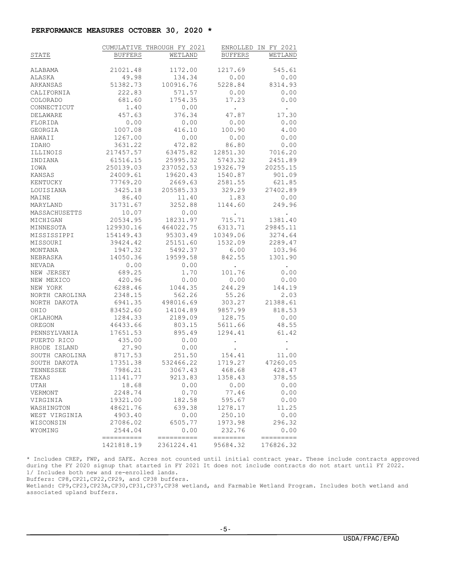#### **PERFORMANCE MEASURES OCTOBER 30, 2020 \***

|                 |                | CUMULATIVE THROUGH FY 2021 |                   | ENROLLED IN FY 2021  |
|-----------------|----------------|----------------------------|-------------------|----------------------|
| STATE           | <b>BUFFERS</b> | WETLAND                    | <b>BUFFERS</b>    | WETLAND              |
|                 |                |                            |                   |                      |
| ALABAMA         | 21021.48       | 1172.00                    | 1217.69           | 545.61               |
| ALASKA          | 49.98          | 134.34                     | 0.00              | 0.00                 |
| ARKANSAS        | 51382.73       | 100916.76                  | 5228.84           | 8314.93              |
| CALIFORNIA      | 222.83         | 571.57                     | 0.00              | 0.00                 |
| <b>COLORADO</b> | 681.60         | 1754.35                    | 17.23             | 0.00                 |
| CONNECTICUT     | 1.40           | 0.00                       | <b>Contractor</b> | $\sim$               |
| DELAWARE        | 457.63         | 376.34                     | 47.87             | 17.30                |
| FLORIDA         | 0.00           | 0.00                       | 0.00              | 0.00                 |
| GEORGIA         | 1007.08        | 416.10                     | 100.90            | 4.00                 |
| HAWAII          | 1267.00        | 0.00                       | 0.00              | 0.00                 |
| IDAHO           | 3631.22        | 472.82                     | 86.80             | 0.00                 |
| ILLINOIS        | 217457.57      | 63475.82                   | 12851.30          | 7016.20              |
| INDIANA         | 61516.15       | 25995.32                   | 5743.32           | 2451.89              |
| IOWA            | 250139.03      | 237052.53                  | 19326.79          | 20255.15             |
| KANSAS          | 24009.61       | 19620.43                   | 1540.87           | 901.09               |
| KENTUCKY        | 77769.20       | 2669.63                    | 2581.55           | 621.85               |
| LOUISIANA       |                | 3425.18 205585.33          | 329.29            | 27402.89             |
| MAINE           | 86.40          | 11.40                      | 1.83              | 0.00                 |
| MARYLAND        | 31731.67       | 3252.88                    | 1144.60           | 249.96               |
| MASSACHUSETTS   | 10.07          | 0.00                       | <b>Contractor</b> | $\sim$               |
| MICHIGAN        | 20534.95       | 18231.97                   | 715.71            | 1381.40              |
| MINNESOTA       | 129930.16      | 464022.75                  | 6313.71           | 29845.11             |
| MISSISSIPPI     | 154149.43      | 95303.49                   | 10349.06          | 3274.64              |
| MISSOURI        | 39424.42       | 25151.60                   | 1532.09           | 2289.47              |
| MONTANA         | 1947.32        | 5492.37                    | 6.00              | 103.96               |
| NEBRASKA        | 14050.36       | 19599.58                   | 842.55            | 1301.90              |
| NEVADA          | 0.00           | 0.00                       | $\sim 100$        | $\sim$ $\sim$        |
| NEW JERSEY      | 689.25         | 1.70                       | 101.76            | 0.00                 |
| NEW MEXICO      | 420.96         | 0.00                       | 0.00              | 0.00                 |
| NEW YORK        | 6288.46        | 1044.35                    | 244.29            | 144.19               |
| NORTH CAROLINA  | 2348.15        | 562.26                     | 55.26             | 2.03                 |
| NORTH DAKOTA    | 6941.35        | 498016.69                  | 303.27            | 21388.61             |
| OHIO            | 83452.60       | 14104.89                   | 9857.99           | 818.53               |
| OKLAHOMA        | 1284.33        | 2189.09                    | 128.75            | 0.00                 |
| OREGON          | 46433.66       | 803.15                     | 5611.66           | 48.55                |
| PENNSYLVANIA    | 17651.53       | 895.49                     | 1294.41           | 61.42                |
| PUERTO RICO     | 435.00         | 0.00                       |                   | $\ddot{\phantom{0}}$ |
| RHODE ISLAND    | 27.90          | 0.00                       |                   |                      |
| SOUTH CAROLINA  | 8717.53        | 251.50                     | 154.41            | 11.00                |
| SOUTH DAKOTA    | 17351.38       | 532466.22                  | 1719.27           | 47260.05             |
| TENNESSEE       | 7986.21        | 3067.43                    | 468.68            | 428.47               |
| TEXAS           | 11141.77       | 9213.83                    | 1358.43           | 378.55               |
| UTAH            | 18.68          | 0.00                       | 0.00              | 0.00                 |
| VERMONT         | 2248.74        | 0.70                       | 77.46             | 0.00                 |
| VIRGINIA        | 19321.00       | 182.58                     | 595.67            | 0.00                 |
| WASHINGTON      | 48621.76       | 639.38                     | 1278.17           | 11.25                |
| WEST VIRGINIA   | 4903.40        | 0.00                       | 250.10            | 0.00                 |
| WISCONSIN       | 27086.02       | 6505.77                    | 1973.98           | 296.32               |
| WYOMING         | 2544.04        | 0.00                       | 232.76            | 0.00                 |
|                 | -----------    | ==========                 | --------          | =========            |
|                 | 1421818.19     | 2361224.41                 | 95684.32          | 176826.32            |

\* Includes CREP, FWP, and SAFE. Acres not counted until initial contract year. These include contracts approved during the FY 2020 signup that started in FY 2021 It does not include contracts do not start until FY 2022. 1/ Includes both new and re-enrolled lands.

Buffers: CP8,CP21,CP22,CP29, and CP38 buffers.

Wetland: CP9,CP23,CP23A,CP30,CP31,CP37,CP38 wetland, and Farmable Wetland Program. Includes both wetland and associated upland buffers.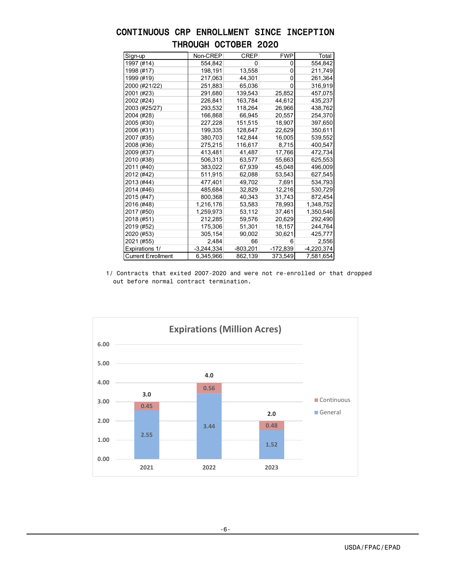| Sign-up                   | Non-CREP     | <b>CREP</b> | <b>FWP</b> | Total        |
|---------------------------|--------------|-------------|------------|--------------|
| 1997 (#14)                | 554,842      | 0           | 0          | 554,842      |
| 1998 (#17)                | 198,191      | 13,558      | $\Omega$   | 211,749      |
| 1999 (#19)                | 217,063      | 44,301      | 0          | 261,364      |
| 2000 (#21/22)             | 251,883      | 65,036      | 0          | 316,919      |
| 2001 (#23)                | 291,680      | 139,543     | 25,852     | 457,075      |
| 2002 (#24)                | 226,841      | 163,784     | 44,612     | 435,237      |
| 2003 (#25/27)             | 293,532      | 118,264     | 26,966     | 438,762      |
| 2004 (#28)                | 166,868      | 66,945      | 20,557     | 254,370      |
| 2005 (#30)                | 227,228      | 151.515     | 18,907     | 397,650      |
| 2006 (#31)                | 199,335      | 128,647     | 22,629     | 350,611      |
| 2007 (#35)                | 380,703      | 142,844     | 16,005     | 539,552      |
| 2008 (#36)                | 275,215      | 116,617     | 8,715      | 400,547      |
| 2009 (#37)                | 413,481      | 41,487      | 17,766     | 472,734      |
| 2010 (#38)                | 506,313      | 63,577      | 55,663     | 625,553      |
| 2011 (#40)                | 383,022      | 67,939      | 45,048     | 496,009      |
| 2012 (#42)                | 511,915      | 62,088      | 53,543     | 627,545      |
| 2013 (#44)                | 477,401      | 49,702      | 7,691      | 534,793      |
| 2014 (#46)                | 485,684      | 32,829      | 12,216     | 530,729      |
| 2015 (#47)                | 800,368      | 40,343      | 31,743     | 872,454      |
| 2016 (#48)                | 1,216,176    | 53,583      | 78,993     | 1,348,752    |
| 2017 (#50)                | 1,259,973    | 53,112      | 37,461     | 1,350,546    |
| 2018 (#51)                | 212,285      | 59,576      | 20,629     | 292,490      |
| 2019 (#52)                | 175,306      | 51,301      | 18,157     | 244,764      |
| 2020 (#53)                | 305,154      | 90,002      | 30,621     | 425,777      |
| 2021 (#55)                | 2,484        | 66          | 6          | 2,556        |
| Expirations 1/            | $-3,244,334$ | $-803,201$  | $-172,839$ | $-4,220,374$ |
| <b>Current Enrollment</b> | 6,345,966    | 862,139     | 373,549    | 7,581,654    |

# CONTINUOUS CRP ENROLLMENT SINCE INCEPTION THROUGH OCTOBER 2020

1/ Contracts that exited 2007-2020 and were not re-enrolled or that dropped out before normal contract termination.

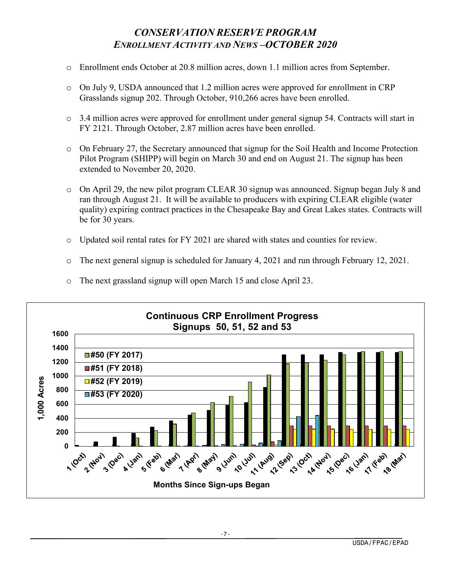# *CONSERVATION RESERVE PROGRAM ENROLLMENT ACTIVITY AND NEWS –OCTOBER 2020*

- o Enrollment ends October at 20.8 million acres, down 1.1 million acres from September.
- $\circ$  On July 9, USDA announced that 1.2 million acres were approved for enrollment in CRP Grasslands signup 202. Through October, 910,266 acres have been enrolled.
- o 3.4 million acres were approved for enrollment under general signup 54. Contracts will start in FY 2121. Through October, 2.87 million acres have been enrolled.
- o On February 27, the Secretary announced that signup for the Soil Health and Income Protection Pilot Program (SHIPP) will begin on March 30 and end on August 21. The signup has been extended to November 20, 2020.
- o On April 29, the new pilot program CLEAR 30 signup was announced. Signup began July 8 and ran through August 21. It will be available to producers with expiring CLEAR eligible (water quality) expiring contract practices in the Chesapeake Bay and Great Lakes states. Contracts will be for 30 years.
- o Updated soil rental rates for FY 2021 are shared with states and counties for review.
- o The next general signup is scheduled for January 4, 2021 and run through February 12, 2021.



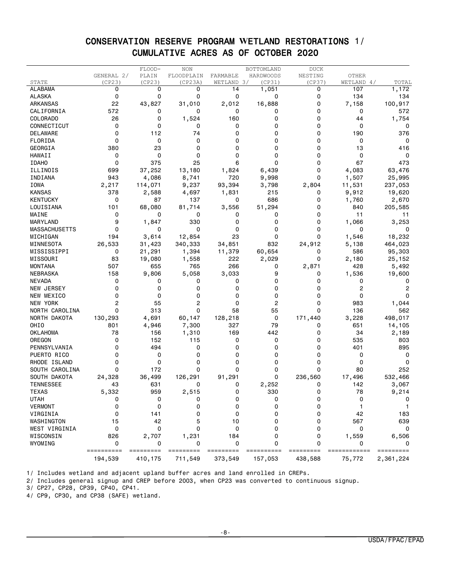### CONSERVATION RESERVE PROGRAM **W**ETLAND RESTORATIONS 1/ CUMULATIVE ACRES AS OF OCTOBER 2020

|                      |            | FLOOD-    | <b>NON</b>     |               | BOTTOMLAND | <b>DUCK</b> |              |           |
|----------------------|------------|-----------|----------------|---------------|------------|-------------|--------------|-----------|
|                      | GENERAL 2/ | PLAIN     | FLOODPLAIN     | FARMABLE      | HARDWOODS  | NESTING     | <b>OTHER</b> |           |
| STATE                | (CP23)     | (CP23)    | (CP23A)        | WETLAND 3/    | (CP31)     | (CP37)      | WETLAND 4/   | TOTAL     |
| <b>ALABAMA</b>       | 0          | 0         | 0              | 14            | 1,051      | 0           | 107          | 1,172     |
| ALASKA               | 0          | 0         | 0              | 0             | 0          | 0           | 134          | 134       |
| <b>ARKANSAS</b>      | 22         | 43,827    | 31,010         | 2,012         | 16,888     | 0           | 7,158        | 100,917   |
| CALIFORNIA           | 572        | 0         | 0              | 0             | 0          | 0           | 0            | 572       |
| COLORADO             | 26         | 0         | 1,524          | 160           | 0          | 0           | 44           | 1,754     |
| CONNECTICUT          | 0          | 0         | 0              | 0             | 0          | 0           | 0            | 0         |
| DELAWARE             | 0          | 112       | 74             | 0             | 0          | 0           | 190          | 376       |
| FLORIDA              | 0          | 0         | 0              | 0             | 0          | 0           | 0            | 0         |
| GEORGIA              | 380        | 23        | 0              | 0             | 0          | 0           | 13           | 416       |
| HAWAII               | 0          | 0         | 0              | 0             | 0          | 0           | 0            | 0         |
| <b>IDAHO</b>         | 0          | 375       | 25             | 6             | 0          | 0           | 67           | 473       |
| ILLINOIS             | 699        | 37,252    | 13,180         | 1,824         | 6,439      | 0           | 4,083        | 63,476    |
| INDIANA              | 943        | 4,086     | 8,741          | 720           | 9,998      | 0           | 1,507        | 25,995    |
| IOWA                 | 2,217      | 114,071   | 9,237          | 93,394        | 3,798      | 2,804       | 11,531       | 237,053   |
| <b>KANSAS</b>        | 378        | 2,588     | 4,697          | 1,831         | 215        | 0           | 9,912        | 19,620    |
| <b>KENTUCKY</b>      | 0          | 87        | 137            | 0             | 686        | 0           | 1,760        | 2,670     |
| LOUISIANA            | 101        | 68,080    | 81,714         | 3,556         | 51,294     | 0           | 840          | 205,585   |
| MAINE                | 0          | 0         | 0              | 0             | 0          | 0           | 11           | 11        |
| MARYLAND             | 9          | 1,847     | 330            | 0             | 0          | 0           | 1,066        | 3,253     |
| <b>MASSACHUSETTS</b> | 0          | 0         | 0              | 0             | 0          | 0           | 0            |           |
|                      | 194        |           | 12,854         | 23            | 0          | 0           | 1,546        |           |
| MICHIGAN             |            | 3,614     |                |               |            |             |              | 18,232    |
| MINNESOTA            | 26,533     | 31,423    | 340,333        | 34,851        | 832        | 24,912      | 5,138        | 464,023   |
| MISSISSIPPI          | 0          | 21,291    | 1,394          | 11,379        | 60,654     | 0           | 586          | 95,303    |
| MISSOURI             | 83         | 19,080    | 1,558          | 222           | 2,029      | 0           | 2,180        | 25,152    |
| <b>MONTANA</b>       | 507        | 655       | 765            | 266           | 0          | 2,871       | 428          | 5,492     |
| NEBRASKA             | 158        | 9,806     | 5,058          | 3,033         | 9          | 0           | 1,536        | 19,600    |
| <b>NEVADA</b>        | 0          | 0         | 0              | 0             | 0          | 0           | 0            | 0         |
| NEW JERSEY           | 0          | 0         | 0              | 0             | 0          | 0           | 2            | 2         |
| NEW MEXICO           | 0          | 0         | 0              | 0             | 0          | 0           | 0            | 0         |
| NEW YORK             | 2          | 55        | $\overline{c}$ | 0             | 2          | 0           | 983          | 1,044     |
| NORTH CAROLINA       | 0          | 313       | $\Omega$       | 58            | 55         | 0           | 136          | 562       |
| NORTH DAKOTA         | 130,293    | 4,691     | 60,147         | 128,218       | 0          | 171,440     | 3,228        | 498,017   |
| OHIO                 | 801        | 4,946     | 7,300          | 327           | 79         | 0           | 651          | 14,105    |
| <b>OKLAHOMA</b>      | 78         | 156       | 1,310          | 169           | 442        | 0           | 34           | 2,189     |
| OREGON               | 0          | 152       | 115            | 0             | 0          | 0           | 535          | 803       |
| PENNSYLVANIA         | 0          | 494       | 0              | 0             | 0          | 0           | 401          | 895       |
| PUERTO RICO          | 0          | 0         | 0              | 0             | 0          | 0           | 0            | 0         |
| RHODE ISLAND         | 0          | 0         | 0              | 0             | 0          | 0           | 0            | 0         |
| SOUTH CAROLINA       | 0          | 172       | 0              | 0             | 0          | $\Omega$    | 80           | 252       |
| SOUTH DAKOTA         | 24,328     | 36,499    | 126,291        | 91,291        | 0          | 236,560     | 17,496       | 532,466   |
| <b>TENNESSEE</b>     | 43         | 631       | 0              | 0             | 2,252      | 0           | 142          | 3,067     |
| <b>TEXAS</b>         | 5,332      | 959       | 2,515          | 0             | 330        | $\Omega$    | 78           | 9,214     |
| <b>UTAH</b>          | 0          | 0         | 0              | 0             | 0          | 0           | 0            | 0         |
| <b>VERMONT</b>       | 0          | 0         | 0              | $\mathbf 0$   | $\Omega$   | $\Omega$    |              |           |
| VIRGINIA             | 0          | 141       | 0              | 0             | 0          | 0           | 42           | 183       |
| WASHINGTON           | 15         | 42        | 5              | 10            | 0          | 0           | 567          | 639       |
| WEST VIRGINIA        | 0          | 0         | 0              | 0             | 0          | 0           | 0            | 0         |
| WISCONSIN            | 826        | 2,707     | 1,231          | 184           | 0          | 0           | 1,559        | 6,506     |
| WYOMING              | 0          | 0         | 0              | 0             | 0          | $\Omega$    | 0            |           |
|                      | ========== | ========= | =========      | ====<br>===== |            |             | $===$        | ========= |
|                      | 194,539    | 410,175   | 711,549        | 373,549       | 157,053    | 438,588     | 75,772       | 2,361,224 |

1/ Includes wetland and adjacent upland buffer acres and land enrolled in CREPs.

2/ Includes general signup and CREP before 2003, when CP23 was converted to continuous signup.

3/ CP27, CP28, CP39, CP40, CP41.

4/ CP9, CP30, and CP38 (SAFE) wetland.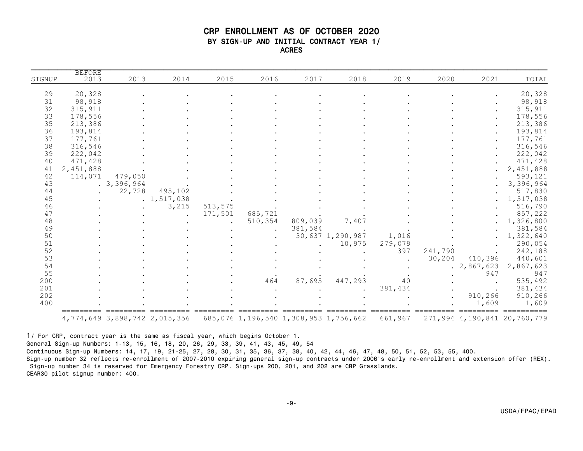#### CRP ENROLLMENT AS OF OCTOBER 2020 BY SIGN-UP AND INITIAL CONTRACT YEAR 1/ ACRES

| 20,328<br>98,918<br>315, 911<br>178,556<br>213,386<br>193,814<br>177,761<br>316,546<br>222,042<br>471,428<br>2,451,888<br>593,121<br>3,396,964<br>517,830<br>1,517,038<br>3,215<br>513,575<br>516,790<br>171,501<br>857,222<br>685,721<br>510,354<br>809,039<br>7,407<br>1,326,800<br>$\ddot{\phantom{0}}$<br>381,584<br>381,584<br>30,637 1,290,987<br>1,322,640<br>1,016<br>279,079<br>290,054<br>10,975<br>397<br>241,790<br>242,188<br>30,204<br>410,396<br>440,601<br>.2,867,623<br>2,867,623<br>947<br>947<br>87,695<br>535,492<br>447,293<br>40<br>464<br>381,434<br>381,434<br>910,266<br>910,266 | SIGNUP | <b>BEFORE</b><br>2013 | 2013       | 2014          | 2015 | 2016 | 2017 | 2018 | 2019 | 2020 | 2021 | TOTAL |
|-----------------------------------------------------------------------------------------------------------------------------------------------------------------------------------------------------------------------------------------------------------------------------------------------------------------------------------------------------------------------------------------------------------------------------------------------------------------------------------------------------------------------------------------------------------------------------------------------------------|--------|-----------------------|------------|---------------|------|------|------|------|------|------|------|-------|
|                                                                                                                                                                                                                                                                                                                                                                                                                                                                                                                                                                                                           | 29     | 20,328                |            |               |      |      |      |      |      |      |      |       |
|                                                                                                                                                                                                                                                                                                                                                                                                                                                                                                                                                                                                           | 31     | 98,918                |            |               |      |      |      |      |      |      |      |       |
|                                                                                                                                                                                                                                                                                                                                                                                                                                                                                                                                                                                                           | 32     | 315,911               |            |               |      |      |      |      |      |      |      |       |
|                                                                                                                                                                                                                                                                                                                                                                                                                                                                                                                                                                                                           | 33     | 178,556               |            |               |      |      |      |      |      |      |      |       |
|                                                                                                                                                                                                                                                                                                                                                                                                                                                                                                                                                                                                           | 35     | 213,386               |            |               |      |      |      |      |      |      |      |       |
|                                                                                                                                                                                                                                                                                                                                                                                                                                                                                                                                                                                                           |        |                       |            |               |      |      |      |      |      |      |      |       |
|                                                                                                                                                                                                                                                                                                                                                                                                                                                                                                                                                                                                           | 36     | 193,814               |            |               |      |      |      |      |      |      |      |       |
|                                                                                                                                                                                                                                                                                                                                                                                                                                                                                                                                                                                                           | 37     | 177,761               |            |               |      |      |      |      |      |      |      |       |
|                                                                                                                                                                                                                                                                                                                                                                                                                                                                                                                                                                                                           | 38     | 316,546               |            |               |      |      |      |      |      |      |      |       |
|                                                                                                                                                                                                                                                                                                                                                                                                                                                                                                                                                                                                           | 39     | 222,042               |            |               |      |      |      |      |      |      |      |       |
|                                                                                                                                                                                                                                                                                                                                                                                                                                                                                                                                                                                                           | 40     | 471,428               |            |               |      |      |      |      |      |      |      |       |
|                                                                                                                                                                                                                                                                                                                                                                                                                                                                                                                                                                                                           | 41     | 2,451,888             |            |               |      |      |      |      |      |      |      |       |
|                                                                                                                                                                                                                                                                                                                                                                                                                                                                                                                                                                                                           | 42     | 114,071               | 479,050    |               |      |      |      |      |      |      |      |       |
|                                                                                                                                                                                                                                                                                                                                                                                                                                                                                                                                                                                                           | 43     |                       | .3,396,964 |               |      |      |      |      |      |      |      |       |
|                                                                                                                                                                                                                                                                                                                                                                                                                                                                                                                                                                                                           | 44     |                       | 22,728     | 495,102       |      |      |      |      |      |      |      |       |
|                                                                                                                                                                                                                                                                                                                                                                                                                                                                                                                                                                                                           | 45     |                       |            | . 1, 517, 038 |      |      |      |      |      |      |      |       |
|                                                                                                                                                                                                                                                                                                                                                                                                                                                                                                                                                                                                           | 46     |                       |            |               |      |      |      |      |      |      |      |       |
|                                                                                                                                                                                                                                                                                                                                                                                                                                                                                                                                                                                                           | 47     |                       |            |               |      |      |      |      |      |      |      |       |
|                                                                                                                                                                                                                                                                                                                                                                                                                                                                                                                                                                                                           | 48     |                       |            |               |      |      |      |      |      |      |      |       |
|                                                                                                                                                                                                                                                                                                                                                                                                                                                                                                                                                                                                           | 49     |                       |            |               |      |      |      |      |      |      |      |       |
|                                                                                                                                                                                                                                                                                                                                                                                                                                                                                                                                                                                                           | 50     |                       |            |               |      |      |      |      |      |      |      |       |
|                                                                                                                                                                                                                                                                                                                                                                                                                                                                                                                                                                                                           | 51     |                       |            |               |      |      |      |      |      |      |      |       |
|                                                                                                                                                                                                                                                                                                                                                                                                                                                                                                                                                                                                           | 52     |                       |            |               |      |      |      |      |      |      |      |       |
|                                                                                                                                                                                                                                                                                                                                                                                                                                                                                                                                                                                                           | 53     |                       |            |               |      |      |      |      |      |      |      |       |
|                                                                                                                                                                                                                                                                                                                                                                                                                                                                                                                                                                                                           | 54     |                       |            |               |      |      |      |      |      |      |      |       |
|                                                                                                                                                                                                                                                                                                                                                                                                                                                                                                                                                                                                           | 55     |                       |            |               |      |      |      |      |      |      |      |       |
|                                                                                                                                                                                                                                                                                                                                                                                                                                                                                                                                                                                                           | 200    |                       |            |               |      |      |      |      |      |      |      |       |
|                                                                                                                                                                                                                                                                                                                                                                                                                                                                                                                                                                                                           | 201    |                       |            |               |      |      |      |      |      |      |      |       |
|                                                                                                                                                                                                                                                                                                                                                                                                                                                                                                                                                                                                           | 202    |                       |            |               |      |      |      |      |      |      |      |       |
| 1,609<br>1,609                                                                                                                                                                                                                                                                                                                                                                                                                                                                                                                                                                                            | 400    |                       |            |               |      |      |      |      |      |      |      |       |
|                                                                                                                                                                                                                                                                                                                                                                                                                                                                                                                                                                                                           |        |                       |            |               |      |      |      |      |      |      |      |       |

1/ For CRP, contract year is the same as fiscal year, which begins October 1. General Sign-up Numbers: 1-13, 15, 16, 18, 20, 26, 29, 33, 39, 41, 43, 45, 49, 54 Continuous Sign-up Numbers: 14, 17, 19, 21-25, 27, 28, 30, 31, 35, 36, 37, 38, 40, 42, 44, 46, 47, 48, 50, 51, 52, 53, 55, 400. Sign-up number 32 reflects re-enrollment of 2007-2010 expiring general sign-up contracts under 2006's early re-enrollment and extension offer (REX). Sign-up number 34 is reserved for Emergency Forestry CRP. Sign-ups 200, 201, and 202 are CRP Grasslands. CEAR30 pilot signup number: 400.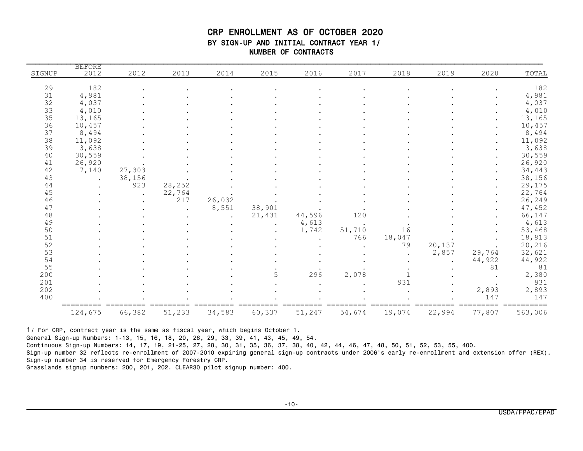#### CRP ENROLLMENT AS OF OCTOBER 2020 BY SIGN-UP AND INITIAL CONTRACT YEAR 1/ NUMBER OF CONTRACTS

|                                         | <b>BEFORE</b>   |                      |        |        |        |        |        |        |        |        |                  |
|-----------------------------------------|-----------------|----------------------|--------|--------|--------|--------|--------|--------|--------|--------|------------------|
| SIGNUP                                  | 2012            | 2012                 | 2013   | 2014   | 2015   | 2016   | 2017   | 2018   | 2019   | 2020   | TOTAL            |
|                                         |                 |                      |        |        |        |        |        |        |        |        |                  |
| 29                                      | 182             |                      |        |        |        |        |        |        |        |        | 182              |
| 31                                      | 4,981           |                      |        |        |        |        |        |        |        |        | 4,981            |
| 32                                      | 4,037           |                      |        |        |        |        |        |        |        |        | 4,037            |
| 33                                      | 4,010           |                      |        |        |        |        |        |        |        |        | 4,010            |
| $\begin{array}{c} 35 \\ 36 \end{array}$ | 13,165          |                      |        |        |        |        |        |        |        |        | 13,165           |
|                                         | 10,457          |                      |        |        |        |        |        |        |        |        | 10,457           |
| 37                                      | 8,494           |                      |        |        |        |        |        |        |        |        | 8,494            |
| 38                                      | 11,092          |                      |        |        |        |        |        |        |        |        | 11,092           |
| 39                                      | 3,638           |                      |        |        |        |        |        |        |        |        | 3,638            |
| 40                                      | 30,559          |                      |        |        |        |        |        |        |        |        | 30,559           |
| 41<br>42                                | 26,920<br>7,140 |                      |        |        |        |        |        |        |        |        | 26,920           |
| 43                                      |                 | 27,303<br>38,156     |        |        |        |        |        |        |        |        | 34,443<br>38,156 |
| 44                                      |                 | 923                  | 28,252 |        |        |        |        |        |        |        | 29,175           |
| 45                                      |                 |                      | 22,764 |        |        |        |        |        |        |        | 22,764           |
| 46                                      |                 | $\ddot{\phantom{a}}$ | 217    | 26,032 |        |        |        |        |        |        | 26,249           |
| 47                                      |                 |                      |        | 8,551  | 38,901 |        |        |        |        |        | 47,452           |
| 48                                      |                 |                      |        |        | 21,431 | 44,596 | 120    |        |        |        | 66,147           |
| 49                                      |                 |                      |        |        |        | 4,613  |        |        |        |        | 4,613            |
| 50                                      |                 |                      |        |        |        | 1,742  | 51,710 | 16     |        |        | 53,468           |
| 51                                      |                 |                      |        |        |        |        | 766    | 18,047 |        |        | 18,813           |
| 52                                      |                 |                      |        |        |        |        |        | 79     | 20,137 |        | 20,216           |
| 53                                      |                 |                      |        |        |        |        |        |        | 2,857  | 29,764 | 32,621           |
| 54                                      |                 |                      |        |        |        |        |        |        |        | 44,922 | 44,922           |
| 55                                      |                 |                      |        |        |        |        |        |        |        | 81     | 81               |
| 200                                     |                 |                      |        |        | 5      | 296    | 2,078  |        |        |        | 2,380            |
| 201                                     |                 |                      |        |        |        |        |        | 931    |        |        | 931              |
| 202                                     |                 |                      |        |        |        |        |        |        |        | 2,893  | 2,893            |
| 400                                     |                 |                      |        |        |        |        |        |        |        | 147    | 147              |
|                                         |                 |                      |        |        |        |        |        |        |        |        |                  |
|                                         | 124,675         | 66,382               | 51,233 | 34,583 | 60,337 | 51,247 | 54,674 | 19,074 | 22,994 | 77,807 | 563,006          |

1/ For CRP, contract year is the same as fiscal year, which begins October 1.

General Sign-up Numbers: 1-13, 15, 16, 18, 20, 26, 29, 33, 39, 41, 43, 45, 49, 54.

Continuous Sign-up Numbers: 14, 17, 19, 21-25, 27, 28, 30, 31, 35, 36, 37, 38, 40, 42, 44, 46, 47, 48, 50, 51, 52, 53, 55, 400.

Sign-up number 32 reflects re-enrollment of 2007-2010 expiring general sign-up contracts under 2006's early re-enrollment and extension offer (REX). Sign-up number 34 is reserved for Emergency Forestry CRP.

Grasslands signup numbers: 200, 201, 202. CLEAR30 pilot signup number: 400.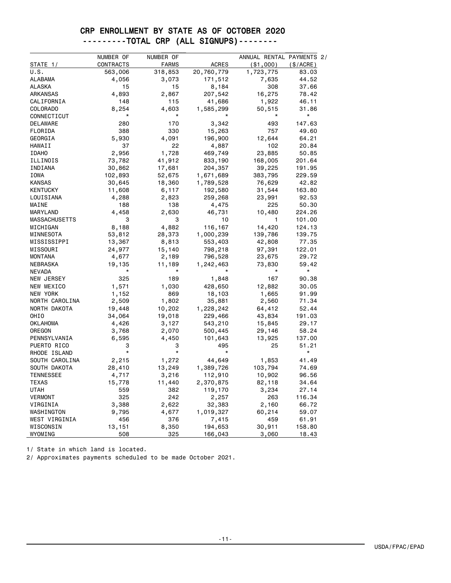### CRP ENROLLMENT BY STATE AS OF OCTOBER 2020 ---------TOTAL CRP (ALL SIGNUPS)--------

|                      | NUMBER OF     | NUMBER OF    |              | ANNUAL RENTAL PAYMENTS 2/ |            |
|----------------------|---------------|--------------|--------------|---------------------------|------------|
| STATE 1/             | CONTRACTS     | <b>FARMS</b> | <b>ACRES</b> | $(*1,000)$                | (S/ACRE)   |
| U.S.                 | 563,006       | 318,853      | 20,760,779   | 1,723,775                 | 83.03      |
| ALABAMA              | 4,056         | 3,073        | 171,512      | 7,635                     | 44.52      |
| <b>ALASKA</b>        | 15            | 15           | 8,184        | 308                       | 37.66      |
| ARKANSAS             | 4,893         | 2,867        | 207,542      | 16,275                    | 78.42      |
| CALIFORNIA           | 148           | 115          | 41,686       | 1,922                     | 46.11      |
| <b>COLORADO</b>      | 8,254         | 4,603        | 1,585,299    | 50,515                    | 31.86      |
| CONNECTICUT          | $^\star$      | $^\star$     |              | $^\star$                  | $^{\star}$ |
| DELAWARE             | 280           | 170          | 3,342        | 493                       | 147.63     |
| FLORIDA              | 388           | 330          | 15,263       | 757                       | 49.60      |
| GEORGIA              | 5,930         | 4,091        | 196,900      | 12,644                    | 64.21      |
| HAWAII               | 37            | 22           | 4,887        | 102                       | 20.84      |
| IDAHO                | 2,956         | 1,728        | 469,749      | 23,885                    | 50.85      |
| ILLINOIS             | 73,782        | 41,912       | 833,190      | 168,005                   | 201.64     |
| INDIANA              | 30,862        | 17,681       | 204,357      | 39,225                    | 191.95     |
| IOWA                 | 102,893       | 52,675       | 1,671,689    | 383,795                   | 229.59     |
| KANSAS               | 30,645        | 18,360       | 1,789,528    | 76,629                    | 42.82      |
| KENTUCKY             | 11,608        | 6,117        | 192,580      | 31,544                    | 163.80     |
| LOUISIANA            | 4,288         | 2,823        | 259,268      | 23,991                    | 92.53      |
| MAINE                | 188           | 138          | 4,475        | 225                       | 50.30      |
| MARYLAND             | 4,458         | 2,630        | 46,731       | 10,480                    | 224.26     |
| <b>MASSACHUSETTS</b> | 3             | 3            | 10           | 1                         | 101.00     |
| MICHIGAN             | 8,188         | 4,882        | 116,167      | 14,420                    | 124.13     |
| MINNESOTA            | 53,812        | 28,373       | 1,000,239    | 139,786                   | 139.75     |
| MISSISSIPPI          | 13,367        | 8,813        | 553,403      | 42,808                    | 77.35      |
| MISSOURI             | 24,977        | 15,140       | 798,218      | 97,391                    | 122.01     |
| MONTANA              | 4,677         | 2,189        | 796,528      | 23,675                    | 29.72      |
| NEBRASKA             | 19,135        | 11,189       | 1,242,463    | 73,830                    | 59.42      |
| NEVADA               | *             | $^\star$     |              | $^\star$                  | $^\star$   |
| NEW JERSEY           | 325           | 189          | 1,848        | 167                       | 90.38      |
| NEW MEXICO           | 1,571         | 1,030        | 428,650      | 12,882                    | 30.05      |
| NEW YORK             | 1,152         | 869          | 18,103       | 1,665                     | 91.99      |
| NORTH CAROLINA       | 2,509         | 1,802        | 35,881       | 2,560                     | 71.34      |
| NORTH DAKOTA         | 19,448        | 10,202       | 1,228,242    | 64,412                    | 52.44      |
| OHIO                 | 34,064        | 19,018       | 229,466      | 43,834                    | 191.03     |
| OKLAHOMA             | 4,426         | 3,127        | 543,210      | 15,845                    | 29.17      |
| OREGON               | 3,768         | 2,070        | 500,445      | 29,146                    | 58.24      |
| PENNSYLVANIA         | 6,595         | 4,450        | 101,643      | 13,925                    | 137.00     |
| PUERTO RICO          | 3             | 3            | 495          | 25                        | 51.21      |
| RHODE ISLAND         | $\star$       | $\star$      | $\star$      |                           | $\star$    |
| SOUTH CAROLINA       | 2,215         | 1,272        | 44,649       | 1,853                     | 41.49      |
| SOUTH DAKOTA         | 28,410        | 13,249       | 1,389,726    | 103,794                   | 74.69      |
| TENNESSEE            | 4,717         | 3,216        | 112,910      | 10,902                    | 96.56      |
| TEXAS                |               | 11,440       |              |                           | 34.64      |
| <b>UTAH</b>          | 15,778<br>559 | 382          | 2,370,875    | 82,118<br>3,234           | 27.14      |
| <b>VERMONT</b>       | 325           | 242          | 119,170      | 263                       | 116.34     |
| VIRGINIA             |               |              | 2,257        |                           |            |
| WASHINGTON           | 3,388         | 2,622        | 32,383       | 2,160                     | 66.72      |
|                      | 9,795         | 4,677        | 1,019,327    | 60,214                    | 59.07      |
| WEST VIRGINIA        | 456           | 376          | 7,415        | 459                       | 61.91      |
| WISCONSIN            | 13,151        | 8,350        | 194,653      | 30,911                    | 158.80     |
| WYOMING              | 508           | 325          | 166,043      | 3,060                     | 18.43      |

1/ State in which land is located.

2/ Approximates payments scheduled to be made October 2021.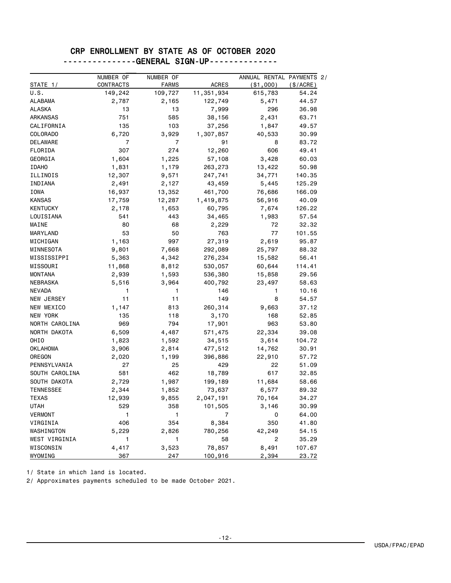#### CRP ENROLLMENT BY STATE AS OF OCTOBER 2020 ---------------GENERAL SIGN-UP--------------

|                  | NUMBER OF    | NUMBER OF      |              | ANNUAL RENTAL PAYMENTS 2/ |           |
|------------------|--------------|----------------|--------------|---------------------------|-----------|
| STATE 1/         | CONTRACTS    | <b>FARMS</b>   | <b>ACRES</b> | ( \$1,000)                | (\$/ACRE) |
| U.S.             | 149,242      | 109,727        | 11,351,934   | 615,783                   | 54.24     |
| ALABAMA          | 2,787        | 2,165          | 122,749      | 5,471                     | 44.57     |
| <b>ALASKA</b>    | 13           | 13             | 7,999        | 296                       | 36.98     |
| ARKANSAS         | 751          | 585            | 38,156       | 2,431                     | 63.71     |
| CALIFORNIA       | 135          | 103            | 37,256       | 1,847                     | 49.57     |
| <b>COLORADO</b>  | 6,720        | 3,929          | 1,307,857    | 40,533                    | 30.99     |
| <b>DELAWARE</b>  | 7            | $\overline{7}$ | 91           | 8                         | 83.72     |
| FLORIDA          | 307          | 274            | 12,260       | 606                       | 49.41     |
| GEORGIA          | 1,604        | 1,225          | 57,108       | 3,428                     | 60.03     |
| <b>IDAHO</b>     | 1,831        | 1,179          | 263,273      | 13,422                    | 50.98     |
| ILLINOIS         | 12,307       | 9,571          | 247,741      | 34,771                    | 140.35    |
| INDIANA          | 2,491        | 2,127          | 43,459       | 5,445                     | 125.29    |
| IOWA             | 16,937       | 13,352         | 461,700      | 76,686                    | 166.09    |
| <b>KANSAS</b>    | 17,759       | 12,287         | 1,419,875    | 56,916                    | 40.09     |
| <b>KENTUCKY</b>  | 2,178        | 1,653          | 60,795       | 7,674                     | 126.22    |
| LOUISIANA        | 541          | 443            | 34,465       | 1,983                     | 57.54     |
| MAINE            | 80           | 68             | 2,229        | 72                        | 32.32     |
| MARYLAND         | 53           | 50             | 763          | 77                        | 101.55    |
| MICHIGAN         | 1,163        | 997            | 27,319       | 2,619                     | 95.87     |
| MINNESOTA        | 9,801        | 7,668          | 292,089      | 25,797                    | 88.32     |
| MISSISSIPPI      | 5,363        | 4,342          | 276,234      | 15,582                    | 56.41     |
| MISSOURI         | 11,868       | 8,812          | 530,057      | 60,644                    | 114.41    |
| <b>MONTANA</b>   | 2,939        | 1,593          | 536,380      | 15,858                    | 29.56     |
| NEBRASKA         | 5,516        | 3,964          | 400,792      | 23,497                    | 58.63     |
| NEVADA           | 1            | 1              | 146          | 1                         | 10.16     |
| NEW JERSEY       | 11           | 11             | 149          | 8                         | 54.57     |
| NEW MEXICO       | 1,147        | 813            | 260,314      | 9,663                     | 37.12     |
| NEW YORK         | 135          | 118            | 3,170        | 168                       | 52.85     |
| NORTH CAROLINA   | 969          | 794            | 17,901       | 963                       | 53.80     |
| NORTH DAKOTA     | 6,509        | 4,487          | 571,475      | 22,334                    | 39.08     |
| OHIO             | 1,823        | 1,592          | 34,515       | 3,614                     | 104.72    |
| OKLAHOMA         | 3,906        | 2,814          | 477,512      | 14,762                    | 30.91     |
| OREGON           | 2,020        | 1,199          | 396,886      | 22,910                    | 57.72     |
| PENNSYLVANIA     | 27           | 25             | 429          | 22                        | 51.09     |
| SOUTH CAROLINA   | 581          | 462            | 18,789       | 617                       | 32.85     |
| SOUTH DAKOTA     | 2,729        | 1,987          | 199,189      | 11,684                    | 58.66     |
| <b>TENNESSEE</b> | 2,344        | 1,852          | 73,637       | 6,577                     | 89.32     |
| TEXAS            | 12,939       | 9,855          | 2,047,191    | 70,164                    | 34.27     |
| <b>UTAH</b>      | 529          | 358            | 101,505      | 3,146                     | 30.99     |
| <b>VERMONT</b>   | 1            | $\mathbf{1}$   | 7            | 0                         | 64.00     |
| VIRGINIA         | 406          | 354            | 8,384        | 350                       | 41.80     |
| WASHINGTON       | 5,229        | 2,826          | 780,256      | 42,249                    | 54.15     |
| WEST VIRGINIA    | $\mathbf{1}$ | $\mathbf{1}$   | 58           | 2                         | 35.29     |
| WISCONSIN        | 4,417        | 3,523          | 78,857       | 8,491                     | 107.67    |
| WYOMING          | 367          | 247            | 100,916      | 2,394                     | 23.72     |

1/ State in which land is located.

2/ Approximates payments scheduled to be made October 2021.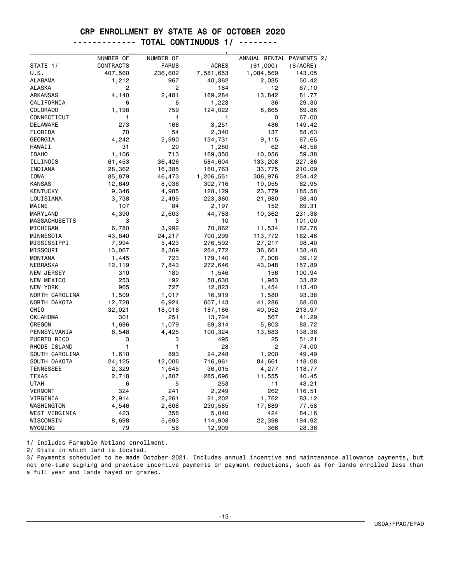#### CRP ENROLLMENT BY STATE AS OF OCTOBER 2020

|--|--|--|--|--|

|                  | NUMBER OF | NUMBER OF    |              | ANNUAL RENTAL PAYMENTS 2/ |           |
|------------------|-----------|--------------|--------------|---------------------------|-----------|
| STATE $1/$       | CONTRACTS | <b>FARMS</b> | <b>ACRES</b> | ( \$1,000)                | (\$/ACRE) |
| U.S.             | 407,560   | 236,602      | 7,581,653    | 1,084,569                 | 143.05    |
| ALABAMA          | 1,212     | 967          | 40,362       | 2,035                     | 50.42     |
| ALASKA           | 2         | 2            | 184          | 12                        | 67.10     |
| ARKANSAS         | 4,140     | 2,481        | 169,284      | 13,842                    | 81.77     |
| CALIFORNIA       | 6         | 6            | 1,223        | 36                        | 29.30     |
| COLORADO         | 1,198     | 759          | 124,022      | 8,665                     | 69.86     |
| CONNECTICUT      | 1         | 1            | 1            | 0                         | 67.00     |
| DELAWARE         | 273       | 166          | 3,251        | 486                       | 149.42    |
| FLORIDA          | 70        | 54           | 2,340        | 137                       | 58.63     |
| GEORGIA          | 4,242     | 2,990        | 134,731      | 9,115                     | 67.65     |
| HAWAII           | 31        | 20           | 1,280        | 62                        | 48.58     |
| <b>IDAHO</b>     | 1,106     | 713          | 169,350      | 10,056                    | 59.38     |
| ILLINOIS         | 61,453    | 36,426       | 584,604      | 133,208                   | 227.86    |
| INDIANA          | 28,362    | 16,385       | 160,763      | 33,775                    | 210.09    |
| IOWA             | 85,879    | 46,473       | 1,206,551    | 306,976                   | 254.42    |
| <b>KANSAS</b>    | 12,649    | 8,036        | 302,716      | 19,055                    | 62.95     |
| <b>KENTUCKY</b>  | 9,346     | 4,985        | 128,129      | 23,779                    | 185.58    |
| LOUISIANA        | 3,738     | 2,495        | 223,360      | 21,980                    | 98.40     |
| MAINE            | 107       | 84           | 2,197        | 152                       | 69.31     |
| MARYLAND         | 4,390     | 2,603        | 44,783       | 10,362                    | 231.38    |
| MASSACHUSETTS    | 3         | 3            | 10           | 1                         | 101.00    |
| MICHIGAN         | 6,780     | 3,992        | 70,862       | 11,534                    | 162.76    |
| MINNESOTA        | 43,840    | 24,217       | 700,299      | 113,772                   | 162.46    |
| MISSISSIPPI      | 7,994     | 5,423        | 276,592      | 27,217                    | 98.40     |
| MISSOURI         | 13,067    | 8,369        | 264,772      | 36,661                    | 138.46    |
| <b>MONTANA</b>   | 1,445     | 723          | 179,140      | 7,008                     | 39.12     |
| <b>NEBRASKA</b>  | 12,119    | 7,843        | 272,646      | 43,048                    | 157.89    |
| NEW JERSEY       | 310       | 180          | 1,546        | 156                       | 100.94    |
| NEW MEXICO       | 253       | 192          | 58,630       | 1,983                     | 33.82     |
| <b>NEW YORK</b>  | 965       | 727          | 12,823       | 1,454                     | 113.40    |
| NORTH CAROLINA   | 1,509     | 1,017        | 16,919       | 1,580                     | 93.38     |
| NORTH DAKOTA     | 12,728    | 6,924        | 607,143      | 41,286                    | 68.00     |
| OHIO             | 32,021    | 18,016       | 187,186      | 40,052                    | 213.97    |
| <b>OKLAHOMA</b>  | 301       | 251          | 13,724       | 567                       | 41.29     |
| OREGON           | 1,696     | 1,079        | 69,314       | 5,803                     | 83.72     |
| PENNSYLVANIA     | 6,548     | 4,425        | 100,324      | 13,883                    | 138.38    |
| PUERTO RICO      | 3         | 3            | 495          | 25                        | 51.21     |
| RHODE ISLAND     | 1         | 1            | 28           | 2                         | 74.00     |
| SOUTH CAROLINA   | 1,610     | 893          | 24,248       | 1,200                     | 49.49     |
| SOUTH DAKOTA     | 24,125    | 12,006       | 716,961      | 84,661                    | 118.08    |
| <b>TENNESSEE</b> | 2,329     | 1,645        | 36,015       | 4,277                     | 118.77    |
| <b>TEXAS</b>     | 2,718     | 1,807        | 285,696      | 11,555                    | 40.45     |
| UTAH             | 6         | 5            | 253          | 11                        | 43.21     |
| <b>VERMONT</b>   | 324       | 241          | 2,249        | 262                       | 116.51    |
| VIRGINIA         | 2,914     | 2,261        | 21,202       | 1,762                     | 83.12     |
| WASHINGTON       | 4,546     | 2,608        | 230,585      | 17,889                    | 77.58     |
| WEST VIRGINIA    | 423       | 356          | 5,040        | 424                       | 84.16     |
| WISCONSIN        | 8,698     | 5,693        | 114,908      | 22,398                    | 194.92    |
| WYOMING          | 79        | 56           | 12,909       | 366                       | 28.36     |

1/ Includes Farmable Wetland enrollment.

2/ State in which land is located.

3/ Payments scheduled to be made October 2021. Includes annual incentive and maintenance allowance payments, but not one-time signing and practice incentive payments or payment reductions, such as for lands enrolled less than a full year and lands hayed or grazed.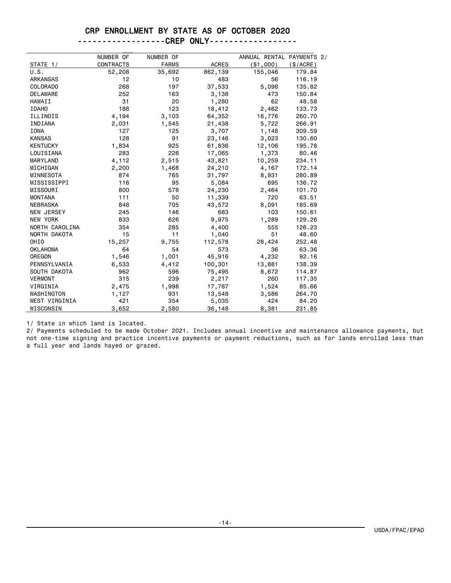#### CRP ENROLLMENT BY STATE AS OF OCTOBER 2020

| ------------------CREP | <b>ONI Y</b><br>. |
|------------------------|-------------------|
|------------------------|-------------------|

|                      | NUMBER OF        | NUMBER OF    |              | ANNUAL RENTAL PAYMENTS 2/ |           |
|----------------------|------------------|--------------|--------------|---------------------------|-----------|
| STATE 1/             | <b>CONTRACTS</b> | <b>FARMS</b> | <b>ACRES</b> | ( \$1,000)                | (\$/ACRE) |
| U.S.                 | 52,208           | 35,692       | 862,139      | 155,046                   | 179.84    |
| <b>ARKANSAS</b>      | 12               | 10           | 483          | 56                        | 116.19    |
| <b>COLORADO</b>      | 268              | 197          | 37,533       | 5,098                     | 135.82    |
| DELAWARE             | 252              | 163          | 3,138        | 473                       | 150.84    |
| <b>HAWAII</b>        | 31               | 20           | 1,280        | 62                        | 48.58     |
| <b>IDAHO</b>         | 188              | 123          | 18,412       | 2,462                     | 133.73    |
| ILLINOIS             | 4,194            | 3,103        | 64,352       | 16,776                    | 260.70    |
| INDIANA              | 2,031            | 1,545        | 21,438       | 5,722                     | 266.91    |
| <b>IOWA</b>          | 127              | 125          | 3,707        | 1,148                     | 309.59    |
| <b>KANSAS</b>        | 128              | 91           | 23,146       | 3,023                     | 130.60    |
| <b>KENTUCKY</b>      | 1,834            | 925          | 61,836       | 12,106                    | 195.78    |
| LOUISIANA            | 283              | 226          | 17,065       | 1,373                     | 80.46     |
| <b>MARYLAND</b>      | 4,112            | 2,515        | 43,821       | 10,259                    | 234.11    |
| MICHIGAN             | 2,200            | 1,468        | 24,210       | 4,167                     | 172.14    |
| MINNESOTA            | 874              | 765          | 31,797       | 8,931                     | 280.89    |
| MISSISSIPPI          | 116              | 95           | 5,084        | 695                       | 136.72    |
| MISSOURI             | 800              | 578          | 24,230       | 2,464                     | 101.70    |
| <b>MONTANA</b>       | 111              | 50           | 11,339       | 720                       | 63.51     |
| <b>NEBRASKA</b>      | 848              | 705          | 43,572       | 8,091                     | 185.69    |
| NEW JERSEY           | 245              | 146          | 683          | 103                       | 150.61    |
| <b>NEW YORK</b>      | 833              | 626          | 9,975        | 1,289                     | 129,26    |
| NORTH CAROLINA       | 354              | 285          | 4,400        | 555                       | 126.23    |
| NORTH DAKOTA         | 15               | 11           | 1,040        | 51                        | 48.60     |
| OHI <sub>0</sub>     | 15,257           | 9,755        | 112,578      | 28,424                    | 252.48    |
| <b>OKLAHOMA</b>      | 64               | 54           | 573          | 36                        | 63.36     |
| OREGON               | 1,546            | 1,001        | 45,916       | 4,232                     | 92.16     |
| PENNSYLVANIA         | 6,533            | 4,412        | 100,301      | 13,881                    | 138.39    |
| SOUTH DAKOTA         | 962              | 596          | 75,495       | 8,672                     | 114.87    |
| <b>VERMONT</b>       | 315              | 239          | 2,217        | 260                       | 117.35    |
| VIRGINIA             | 2,475            | 1,998        | 17,787       | 1,524                     | 85.66     |
| WASHINGTON           | 1,127            | 931          | 13,548       | 3,586                     | 264.70    |
| <b>WEST VIRGINIA</b> | 421              | 354          | 5,035        | 424                       | 84.20     |
| WISCONSIN            | 3,652            | 2,580        | 36,148       | 8,381                     | 231.85    |

1/ State in which land is located.

2/ Payments scheduled to be made October 2021. Includes annual incentive and maintenance allowance payments, but not one-time signing and practice incentive payments or payment reductions, such as for lands enrolled less than a full year and lands hayed or grazed.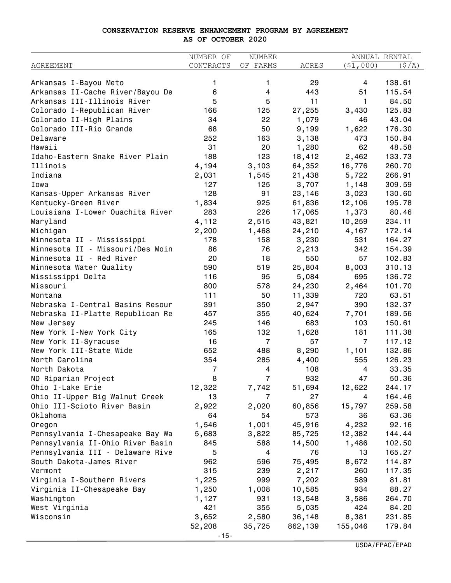#### **CONSERVATION RESERVE ENHANCEMENT PROGRAM BY AGREEMENT AS OF OCTOBER 2020**

|                                  | NUMBER OF       | NUMBER          |                   |                  | ANNUAL RENTAL    |
|----------------------------------|-----------------|-----------------|-------------------|------------------|------------------|
| <b>AGREEMENT</b>                 | CONTRACTS       | OF FARMS        | ACRES             | (51,000)         | (S/A)            |
| Arkansas I-Bayou Meto            | 1               | 1               | 29                | 4                | 138.61           |
| Arkansas II-Cache River/Bayou De | 6               | 4               | 443               | 51               | 115.54           |
| Arkansas III-Illinois River      | 5               | 5               | 11                | 1                | 84.50            |
| Colorado I-Republican River      | 166             | 125             | 27,255            | 3,430            | 125.83           |
| Colorado II-High Plains          | 34              | 22              | 1,079             | 46               | 43.04            |
| Colorado III-Rio Grande          | 68              | 50              | 9,199             | 1,622            | 176.30           |
| Delaware                         | 252             | 163             |                   | 473              | 150.84           |
| Hawaii                           | 31              | 20              | 3,138<br>1,280    | 62               | 48.58            |
| Idaho-Eastern Snake River Plain  | 188             | 123             | 18,412            |                  | 133.73           |
| Illinois                         |                 | 3,103           |                   | 2,462            | 260.70           |
| Indiana                          | 4,194           |                 | 64,352            | 16,776           | 266.91           |
| Iowa                             | 2,031<br>127    | 1,545           | 21,438            | 5,722            |                  |
|                                  |                 | 125             | 3,707             | 1,148            | 309.59           |
| Kansas-Upper Arkansas River      | 128             | 91<br>925       | 23,146            | 3,023            | 130.60<br>195.78 |
| Kentucky-Green River             | 1,834<br>283    | 226             | 61,836            | 12,106           |                  |
| Louisiana I-Lower Ouachita River |                 |                 | 17,065            | 1,373            | 80.46            |
| Maryland                         | 4,112           | 2,515           | 43,821            | 10,259           | 234.11           |
| Michigan                         | 2,200           | 1,468           | 24,210            | 4,167            | 172.14           |
| Minnesota II - Mississippi       | 178             | 158             | 3,230             | 531              | 164.27           |
| Minnesota II - Missouri/Des Moin | 86              | 76              | 2,213             | 342              | 154.39           |
| Minnesota II - Red River         | 20              | 18              | 550               | 57               | 102.83           |
| Minnesota Water Quality          | 590             | 519             | 25,804            | 8,003            | 310.13           |
| Mississippi Delta                | 116             | 95              | 5,084             | 695              | 136.72           |
| Missouri                         | 800             | 578             | 24,230            | 2,464            | 101.70           |
| Montana                          | 111             | 50              | 11,339            | 720              | 63.51            |
| Nebraska I-Central Basins Resour | 391             | 350             | 2,947             | 390              | 132.37           |
| Nebraska II-Platte Republican Re | 457             | 355             | 40,624            | 7,701            | 189.56           |
| New Jersey                       | 245             | 146             | 683               | 103              | 150.61           |
| New York I-New York City         | 165             | 132             | 1,628             | 181              | 111.38           |
| New York II-Syracuse             | 16              | $\overline{7}$  | 57                | $\overline{7}$   | 117.12           |
| New York III-State Wide          | 652             | 488             | 8,290             | 1,101            | 132.86           |
| North Carolina                   | 354             | 285             | 4,400             | 555              | 126.23           |
| North Dakota                     | 7               | 4               | 108               | 4                | 33.35            |
| ND Riparian Project              | 8               | 7               | 932               | 47               | 50.36            |
| Ohio I-Lake Erie                 | 12,322          | 7,742           | 51,694            | 12,622           | 244.17           |
| Ohio II-Upper Big Walnut Creek   | 13              | 7               | 27                | 4                | 164.46           |
| Ohio III-Scioto River Basin      | 2,922           | 2,020           | 60,856            | 15,797           | 259.58           |
| Oklahoma                         | 64              | 54              | 573               | 36               | 63.36            |
| Oregon                           | 1,546           | 1,001           | 45,916            | 4,232            | 92.16            |
| Pennsylvania I-Chesapeake Bay Wa | 5,683           | 3,822           | 85,725            | 12,382           | 144.44           |
| Pennsylvania II-Ohio River Basin | 845             | 588             | 14,500            | 1,486            | 102.50           |
| Pennsylvania III - Delaware Rive | 5               | 4               | 76                | 13               | 165.27           |
| South Dakota-James River         | 962             | 596             | 75,495            | 8,672            | 114.87           |
| Vermont                          | 315             | 239             | 2,217             | 260              | 117.35           |
| Virginia I-Southern Rivers       | 1,225           | 999             | 7,202             | 589              | 81.81            |
|                                  |                 |                 |                   |                  |                  |
| Virginia II-Chesapeake Bay       | 1,250           | 1,008           | 10,585            | 934              | 88.27            |
| Washington                       | 1,127           | 931             | 13,548            | 3,586            | 264.70           |
| West Virginia                    | 421             | 355             | 5,035             | 424              | 84.20            |
| Wisconsin                        | 3,652<br>52,208 | 2,580<br>35,725 | 36,148<br>862,139 | 8,381<br>155,046 | 231.85<br>179.84 |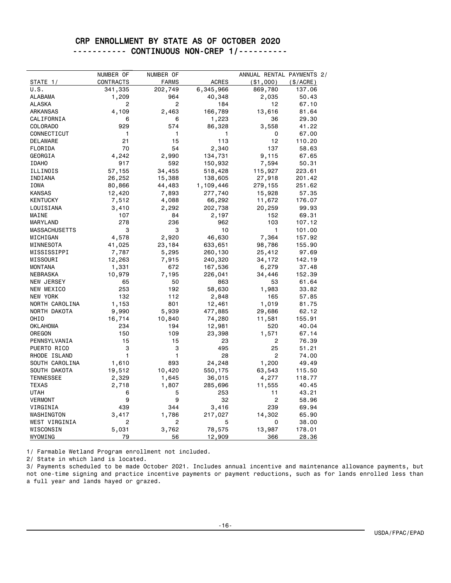#### CRP ENROLLMENT BY STATE AS OF OCTOBER 2020 ----------- CONTINUOUS NON-CREP 1/----------

|                      | NUMBER OF | NUMBER OF      |              | ANNUAL RENTAL PAYMENTS 2/ |           |
|----------------------|-----------|----------------|--------------|---------------------------|-----------|
| <b>STATE_1/</b>      | CONTRACTS | <b>FARMS</b>   | <b>ACRES</b> | $($ \$1,000)              | (\$/ACRE) |
| U.S.                 | 341,335   | 202,749        | 6,345,966    | 869,780                   | 137.06    |
| <b>ALABAMA</b>       | 1,209     | 964            | 40,348       | 2,035                     | 50.43     |
| ALASKA               | 2         | 2              | 184          | 12                        | 67.10     |
| ARKANSAS             | 4,109     | 2,463          | 166,789      | 13,616                    | 81.64     |
| CALIFORNIA           | 6         | 6              | 1,223        | 36                        | 29.30     |
| COLORADO             | 929       | 574            | 86,328       | 3,558                     | 41.22     |
| CONNECTICUT          | 1         | 1              | 1            | 0                         | 67.00     |
| DELAWARE             | 21        | 15             | 113          | 12                        | 110.20    |
| FLORIDA              | 70        | 54             | 2,340        | 137                       | 58.63     |
| GEORGIA              | 4,242     | 2,990          | 134,731      | 9,115                     | 67.65     |
|                      | 917       | 592            |              |                           |           |
| <b>IDAHO</b>         |           |                | 150,932      | 7,594                     | 50.31     |
| ILLINOIS             | 57,155    | 34,455         | 518,428      | 115,927                   | 223.61    |
| INDIANA              | 26,252    | 15,388         | 138,605      | 27,918                    | 201.42    |
| IOWA                 | 80,866    | 44,483         | 1,109,446    | 279,155                   | 251.62    |
| <b>KANSAS</b>        | 12,420    | 7,893          | 277,740      | 15,928                    | 57.35     |
| <b>KENTUCKY</b>      | 7,512     | 4,088          | 66,292       | 11,672                    | 176.07    |
| LOUISIANA            | 3,410     | 2,292          | 202,738      | 20,259                    | 99.93     |
| MAINE                | 107       | 84             | 2,197        | 152                       | 69.31     |
| MARYLAND             | 278       | 236            | 962          | 103                       | 107.12    |
| <b>MASSACHUSETTS</b> | 3         | 3              | 10           | $\mathbf{1}$              | 101.00    |
| MICHIGAN             | 4,578     | 2,920          | 46,630       | 7,364                     | 157.92    |
| MINNESOTA            | 41,025    | 23,184         | 633,651      | 98,786                    | 155.90    |
| MISSISSIPPI          | 7,787     | 5,295          | 260,130      | 25,412                    | 97.69     |
| MISSOURI             | 12,263    | 7,915          | 240,320      | 34,172                    | 142.19    |
| <b>MONTANA</b>       | 1,331     | 672            | 167,536      | 6,279                     | 37.48     |
| <b>NEBRASKA</b>      | 10,979    | 7,195          | 226,041      | 34,446                    | 152.39    |
| <b>NEW JERSEY</b>    | 65        | 50             | 863          | 53                        | 61.64     |
| NEW MEXICO           | 253       | 192            | 58,630       | 1,983                     | 33.82     |
| NEW YORK             | 132       | 112            | 2,848        | 165                       | 57.85     |
| NORTH CAROLINA       | 1,153     | 801            | 12,461       | 1,019                     | 81.75     |
| NORTH DAKOTA         | 9,990     | 5,939          | 477,885      | 29,686                    | 62.12     |
| OHI <sub>0</sub>     | 16,714    | 10,840         | 74,280       | 11,581                    | 155.91    |
| <b>OKLAHOMA</b>      | 234       | 194            | 12,981       | 520                       | 40.04     |
| OREGON               | 150       | 109            | 23,398       | 1,571                     | 67.14     |
| PENNSYLVANIA         | 15        | 15             | 23           | 2                         | 76.39     |
| PUERTO RICO          | 3         | 3              | 495          | 25                        | 51.21     |
| RHODE ISLAND         | 1         | 1              | 28           | 2                         | 74.00     |
| SOUTH CAROLINA       | 1,610     | 893            | 24,248       | 1,200                     | 49.49     |
| SOUTH DAKOTA         | 19,512    | 10,420         | 550,175      | 63,543                    | 115.50    |
| <b>TENNESSEE</b>     | 2,329     | 1,645          | 36,015       | 4,277                     | 118.77    |
| <b>TEXAS</b>         | 2,718     | 1,807          | 285,696      | 11,555                    | 40.45     |
| <b>UTAH</b>          | 6         | 5              | 253          | 11                        | 43.21     |
| <b>VERMONT</b>       | 9         | 9              | 32           | $\overline{2}$            | 58.96     |
|                      | 439       | 344            |              |                           |           |
| VIRGINIA             |           |                | 3,416        | 239                       | 69.94     |
| WASHINGTON           | 3,417     | 1,786          | 217,027      | 14,302                    | 65.90     |
| WEST VIRGINIA        | 2         | $\overline{c}$ | 5            | 0                         | 38.00     |
| WISCONSIN            | 5,031     | 3,762          | 78,575       | 13,987                    | 178.01    |
| WYOMING              | 79        | 56             | 12,909       | 366                       | 28.36     |

1/ Farmable Wetland Program enrollment not included.

2/ State in which land is located.

3/ Payments scheduled to be made October 2021. Includes annual incentive and maintenance allowance payments, but not one-time signing and practice incentive payments or payment reductions, such as for lands enrolled less than a full year and lands hayed or grazed.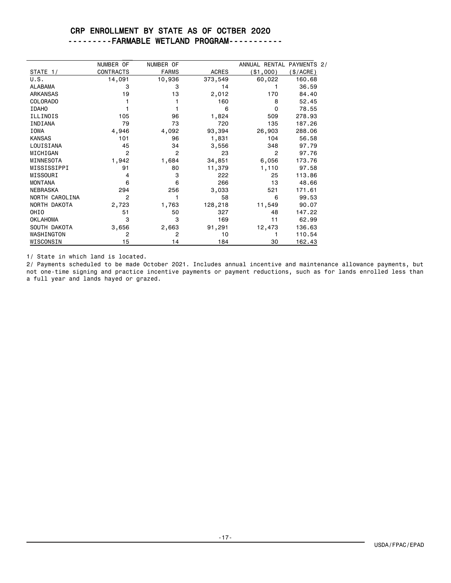#### CRP ENROLLMENT BY STATE AS OF OCTBER 2020 ---------FARMABLE WETLAND PROGRAM-----------

|                 | NUMBER OF        | NUMBER OF      |              | ANNUAL RENTAL PAYMENTS 2/ |          |
|-----------------|------------------|----------------|--------------|---------------------------|----------|
| STATE 1/        | <b>CONTRACTS</b> | <b>FARMS</b>   | <b>ACRES</b> | (\$1,000)                 | \$/ACRE) |
| U.S.            | 14,091           | 10,936         | 373,549      | 60,022                    | 160.68   |
| <b>ALABAMA</b>  | 3                | 3              | 14           |                           | 36.59    |
| <b>ARKANSAS</b> | 19               | 13             | 2,012        | 170                       | 84.40    |
| <b>COLORADO</b> |                  |                | 160          | 8                         | 52.45    |
| <b>IDAHO</b>    |                  |                | 6            | $\Omega$                  | 78.55    |
| ILLINOIS        | 105              | 96             | 1,824        | 509                       | 278.93   |
| INDIANA         | 79               | 73             | 720          | 135                       | 187.26   |
| <b>IOWA</b>     | 4,946            | 4,092          | 93,394       | 26,903                    | 288.06   |
| <b>KANSAS</b>   | 101              | 96             | 1,831        | 104                       | 56.58    |
| LOUISIANA       | 45               | 34             | 3,556        | 348                       | 97.79    |
| MICHIGAN        | 2                | $\overline{2}$ | 23           | 2                         | 97.76    |
| MINNESOTA       | 1,942            | 1,684          | 34,851       | 6,056                     | 173.76   |
| MISSISSIPPI     | 91               | 80             | 11,379       | 1,110                     | 97.58    |
| MISSOURI        | 4                | 3              | 222          | 25                        | 113.86   |
| <b>MONTANA</b>  | 6                | 6              | 266          | 13                        | 48.66    |
| <b>NEBRASKA</b> | 294              | 256            | 3,033        | 521                       | 171.61   |
| NORTH CAROLINA  | 2                |                | 58           | 6                         | 99.53    |
| NORTH DAKOTA    | 2,723            | 1,763          | 128,218      | 11,549                    | 90.07    |
| OHIO            | 51               | 50             | 327          | 48                        | 147.22   |
| <b>OKLAHOMA</b> | 3                | 3              | 169          | 11                        | 62.99    |
| SOUTH DAKOTA    | 3,656            | 2,663          | 91,291       | 12,473                    | 136.63   |
| WASHINGTON      | 2                | 2              | 10           |                           | 110.54   |
| WISCONSIN       | 15               | 14             | 184          | 30                        | 162.43   |

1/ State in which land is located.

2/ Payments scheduled to be made October 2021. Includes annual incentive and maintenance allowance payments, but not one-time signing and practice incentive payments or payment reductions, such as for lands enrolled less than a full year and lands hayed or grazed.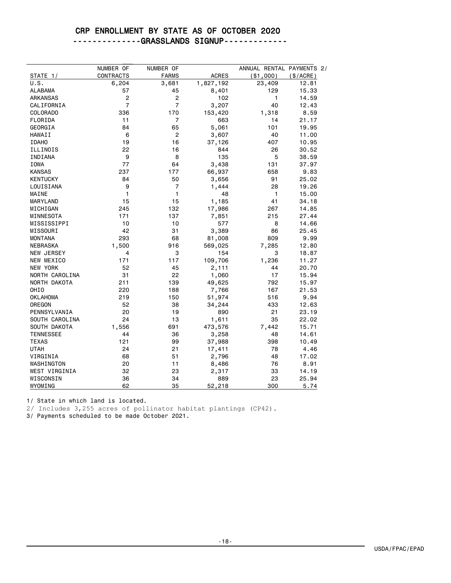### CRP ENROLLMENT BY STATE AS OF OCTOBER 2020

--------------GRASSLANDS SIGNUP-------------

|                   | NUMBER OF                 | NUMBER OF             | <b>ACRES</b> | ANNUAL RENTAL PAYMENTS 2/ |                    |
|-------------------|---------------------------|-----------------------|--------------|---------------------------|--------------------|
| STATE 1/<br>U.S.  | <b>CONTRACTS</b><br>6,204 | <b>FARMS</b><br>3,681 | 1,827,192    | ( \$1,000)<br>23,409      | (\$/ACRE)<br>12.81 |
| <b>ALABAMA</b>    | 57                        | 45                    | 8,401        | 129                       | 15.33              |
| <b>ARKANSAS</b>   | 2                         | $\overline{c}$        | 102          | 1                         | 14.59              |
| CALIFORNIA        | $\overline{7}$            | $\overline{7}$        | 3,207        | 40                        | 12.43              |
| COLORADO          | 336                       | 170                   | 153,420      | 1,318                     | 8.59               |
| FLORIDA           | 11                        | $\overline{7}$        | 663          | 14                        | 21.17              |
| GEORGIA           | 84                        | 65                    |              | 101                       | 19.95              |
|                   |                           | $\overline{c}$        | 5,061        |                           |                    |
| HAWAII            | 6                         |                       | 3,607        | 40                        | 11.00              |
| <b>IDAHO</b>      | 19                        | 16                    | 37,126       | 407                       | 10.95              |
| ILLINOIS          | 22                        | 16                    | 844          | 26                        | 30.52              |
| INDIANA           | 9                         | 8                     | 135          | 5                         | 38.59              |
| <b>IOWA</b>       | 77                        | 64                    | 3,438        | 131                       | 37.97              |
| <b>KANSAS</b>     | 237                       | 177                   | 66,937       | 658                       | 9.83               |
| <b>KENTUCKY</b>   | 84                        | 50                    | 3,656        | 91                        | 25.02              |
| LOUISIANA         | 9                         | $\overline{7}$        | 1,444        | 28                        | 19.26              |
| MAINE             | 1                         | 1                     | 48           | 1                         | 15.00              |
| MARYLAND          | 15                        | 15                    | 1,185        | 41                        | 34.18              |
| MICHIGAN          | 245                       | 132                   | 17,986       | 267                       | 14.85              |
| MINNESOTA         | 171                       | 137                   | 7,851        | 215                       | 27.44              |
| MISSISSIPPI       | 10                        | 10                    | 577          | 8                         | 14.66              |
| MISSOURI          | 42                        | 31                    | 3,389        | 86                        | 25.45              |
| <b>MONTANA</b>    | 293                       | 68                    | 81,008       | 809                       | 9.99               |
| <b>NEBRASKA</b>   | 1,500                     | 916                   | 569,025      | 7,285                     | 12.80              |
| <b>NEW JERSEY</b> | 4                         | 3                     | 154          | 3                         | 18.87              |
| NEW MEXICO        | 171                       | 117                   | 109,706      | 1,236                     | 11.27              |
| <b>NEW YORK</b>   | 52                        | 45                    | 2,111        | 44                        | 20.70              |
| NORTH CAROLINA    | 31                        | 22                    | 1,060        | 17                        | 15.94              |
| NORTH DAKOTA      | 211                       | 139                   | 49,625       | 792                       | 15.97              |
| OHI <sub>0</sub>  | 220                       | 188                   | 7,766        | 167                       | 21.53              |
| <b>OKLAHOMA</b>   | 219                       | 150                   | 51,974       | 516                       | 9.94               |
| OREGON            | 52                        | 38                    | 34,244       | 433                       | 12.63              |
| PENNSYLVANIA      | 20                        | 19                    | 890          | 21                        | 23.19              |
| SOUTH CAROLINA    | 24                        | 13                    | 1,611        | 35                        | 22.02              |
| SOUTH DAKOTA      | 1,556                     | 691                   | 473,576      | 7,442                     | 15.71              |
| <b>TENNESSEE</b>  | 44                        | 36                    | 3,258        | 48                        | 14.61              |
| <b>TEXAS</b>      | 121                       | 99                    | 37,988       | 398                       | 10.49              |
| <b>UTAH</b>       | 24                        | 21                    | 17,411       | 78                        | 4.46               |
| VIRGINIA          | 68                        | 51                    | 2,796        | 48                        | 17.02              |
| WASHINGTON        | 20                        | 11                    | 8,486        | 76                        | 8.91               |
| WEST VIRGINIA     | 32                        | 23                    | 2,317        | 33                        | 14.19              |
| WISCONSIN         | 36                        | 34                    | 889          | 23                        | 25.94              |
| WYOMING           | 62                        | 35                    | 52,218       | 300                       | 5.74               |
|                   |                           |                       |              |                           |                    |

1/ State in which land is located.

2/ Includes 3,255 acres of pollinator habitat plantings (CP42).

3/ Payments scheduled to be made October 2021.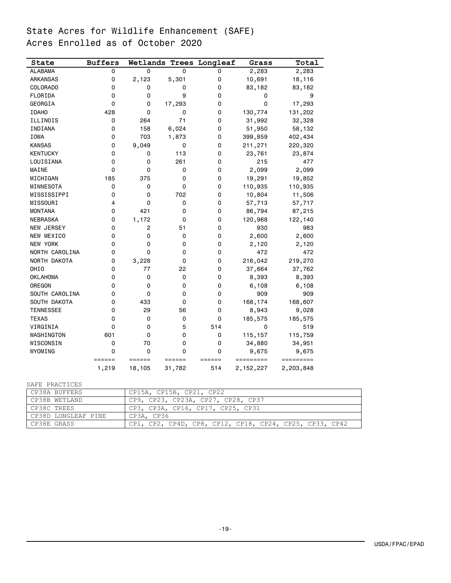# State Acres for Wildlife Enhancement (SAFE) Acres Enrolled as of October 2020

| State            | <b>Buffers</b>  |                  |                  | Wetlands Trees Longleaf | Grass                  | Total                  |
|------------------|-----------------|------------------|------------------|-------------------------|------------------------|------------------------|
| <b>ALABAMA</b>   | 0               | 0                | 0                | 0                       | 2,283                  | 2,283                  |
| <b>ARKANSAS</b>  | 0               | 2,123            | 5,301            | 0                       | 10,691                 | 18,116                 |
| <b>COLORADO</b>  | 0               | 0                | 0                | 0                       | 83,182                 | 83,182                 |
| FLORIDA          | 0               | 0                | 9                | 0                       | 0                      | 9                      |
| GEORGIA          | 0               | 0                | 17,293           | 0                       | 0                      | 17,293                 |
| <b>IDAHO</b>     | 428             | 0                | 0                | 0                       | 130,774                | 131,202                |
| ILLINOIS         | 0               | 264              | 71               | 0                       | 31,992                 | 32,328                 |
| INDIANA          | 0               | 158              | 6,024            | 0                       | 51,950                 | 58,132                 |
| <b>IOWA</b>      | 0               | 703              | 1,873            | 0                       | 399,859                | 402,434                |
| <b>KANSAS</b>    | 0               | 9,049            | 0                | 0                       | 211,271                | 220,320                |
| <b>KENTUCKY</b>  | 0               | 0                | 113              | 0                       | 23,761                 | 23,874                 |
| LOUISIANA        | 0               | 0                | 261              | 0                       | 215                    | 477                    |
| MAINE            | 0               | 0                | 0                | 0                       | 2,099                  | 2,099                  |
| MICHIGAN         | 185             | 375              | 0                | 0                       | 19,291                 | 19,852                 |
| MINNESOTA        | 0               | 0                | 0                | 0                       | 110,935                | 110,935                |
| MISSISSIPPI      | 0               | 0                | 702              | 0                       | 10,804                 | 11,506                 |
| MISSOURI         | 4               | 0                | 0                | 0                       | 57,713                 | 57,717                 |
| <b>MONTANA</b>   | 0               | 421              | 0                | 0                       | 86,794                 | 87,215                 |
| <b>NEBRASKA</b>  | 0               | 1,172            | 0                | 0                       | 120,968                | 122,140                |
| NEW JERSEY       | 0               | 2                | 51               | 0                       | 930                    | 983                    |
| NEW MEXICO       | 0               | 0                | 0                | 0                       | 2,600                  | 2,600                  |
| <b>NEW YORK</b>  | 0               | 0                | 0                | 0                       | 2,120                  | 2,120                  |
| NORTH CAROLINA   | 0               | 0                | 0                | 0                       | 472                    | 472                    |
| NORTH DAKOTA     | 0               | 3,228            | 0                | 0                       | 216,042                | 219,270                |
| OHI <sub>0</sub> | 0               | 77               | 22               | 0                       | 37,664                 | 37,762                 |
| <b>OKLAHOMA</b>  | 0               | 0                | 0                | 0                       | 8,393                  | 8,393                  |
| OREGON           | 0               | 0                | 0                | 0                       | 6,108                  | 6,108                  |
| SOUTH CAROLINA   | 0               | 0                | 0                | 0                       | 909                    | 909                    |
| SOUTH DAKOTA     | 0               | 433              | 0                | 0                       | 168,174                | 168,607                |
| <b>TENNESSEE</b> | 0               | 29               | 56               | 0                       | 8,943                  | 9,028                  |
| <b>TEXAS</b>     | 0               | 0                | 0                | 0                       | 185,575                | 185,575                |
| VIRGINIA         | 0               | 0                | 5                | 514                     | 0                      | 519                    |
| WASHINGTON       | 601             | 0                | 0                | 0                       | 115,157                | 115,759                |
| WISCONSIN        | 0               | 70               | 0                | 0                       | 34,880                 | 34,951                 |
| WYOMING          | 0               | 0                | 0                | 0                       | 9,675                  | 9,675                  |
|                  |                 |                  |                  |                         |                        |                        |
|                  | ======<br>1,219 | ======<br>18,105 | ======<br>31,782 | ======<br>514           | =========<br>2,152,227 | =========<br>2,203,848 |

SAFE PRACTICES

| CP38A BUFFERS       | CP15A, CP15B, CP21, CP22                                |
|---------------------|---------------------------------------------------------|
| CP38B WETLAND       | CP9, CP23, CP23A, CP27, CP28, CP37                      |
| CP38C TREES         | CP3, CP3A, CP16, CP17, CP25, CP31                       |
| CP38D LONGLEAF PINE | CP3A, CP36                                              |
| CP38E GRASS         | CP1, CP2, CP4D, CP8, CP12, CP18, CP24, CP25, CP33, CP42 |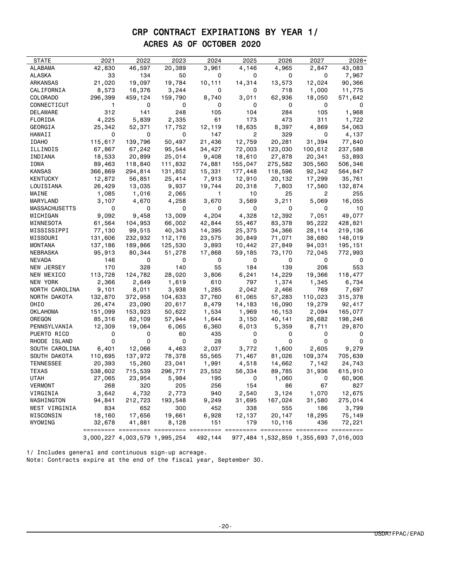# CRP CONTRACT EXPIRATIONS BY YEAR 1/ ACRES AS OF OCTOBER 2020

| STATE            | 2021    | 2022                          | 2023    | 2024                 | 2025    | 2026                                   | 2027    | $2028+$                               |
|------------------|---------|-------------------------------|---------|----------------------|---------|----------------------------------------|---------|---------------------------------------|
| ALABAMA          | 42,830  | 46,597                        | 20,389  | 3,961                | 4,146   | 4,965                                  | 2,847   | 43,083                                |
| ALASKA           | 33      | 134                           | 50      | 0                    | 0       | 0                                      | 0       | 7,967                                 |
| ARKANSAS         | 21,020  | 19,097                        | 19,784  | 10,111               | 14,314  | 13,573                                 | 12,024  | 90,366                                |
| CALIFORNIA       | 8,573   | 16,376                        | 3,244   | 0                    | 0       | 718                                    | 1,000   | 11,775                                |
| COLORADO         | 296,399 | 459,124                       | 159,790 | 8,740                | 3,011   | 62,936                                 | 18,050  | 571,642                               |
| CONNECTICUT      | 1       | 0                             | 0       | 0                    | 0       | 0                                      | 0       | 0                                     |
| DELAWARE         | 312     | 141                           | 248     | 105                  | 104     | 284                                    | 105     | 1,968                                 |
| FLORIDA          | 4,225   | 5,839                         | 2,335   | 61                   | 173     | 473                                    | 311     | 1,722                                 |
| GEORGIA          | 25,342  | 52,371                        | 17,752  | 12,119               | 18,635  | 8,397                                  | 4,869   | 54,063                                |
| HAWAII           | 0       | 0                             | 0       | 147                  | 2       | 329                                    | 0       | 4,137                                 |
| <b>IDAHO</b>     | 115,617 | 139,796                       | 50,497  | 21,436               | 12,759  | 20,281                                 | 31,394  | 77,840                                |
| ILLINOIS         | 67,867  | 67,242                        | 95,544  | 34,427               | 72,003  | 123,030                                | 100,612 | 237,588                               |
| INDIANA          | 18,533  | 20,899                        | 25,014  | 9,408                | 18,610  | 27,878                                 | 20,341  | 53,893                                |
| IOWA             | 89,463  | 118,840                       | 111,832 | 74,881               | 155,047 | 275,582                                | 305,560 | 506,346                               |
| KANSAS           | 366,869 | 294,814                       | 131,852 | 15,331               | 177,448 | 118,596                                | 92,342  | 564,847                               |
| KENTUCKY         | 12,872  | 56,851                        | 25,414  | 7,913                | 12,910  | 20,132                                 | 17,299  | 35,761                                |
| LOUISIANA        | 26,429  | 13,035                        | 9,937   | 19,744               | 20,318  | 7,803                                  | 17,560  | 132,874                               |
| MAINE            | 1,085   | 1,016                         | 2,065   | 1                    | 10      | 25                                     | 2       | 255                                   |
| MARYLAND         | 3,107   | 4,670                         | 4,258   | 3,670                | 3,569   | 3,211                                  | 5,069   | 16,055                                |
| MASSACHUSETTS    | 0       | 0                             | 0       | 0                    | 0       | 0                                      | 0       | 10                                    |
| MICHIGAN         | 9,092   | 9,458                         | 13,009  | 4,204                | 4,328   | 12,392                                 | 7,051   | 49,077                                |
| MINNESOTA        | 61,564  | 104,953                       | 66,002  | 42,844               | 55,467  | 83,378                                 | 95,222  | 428,821                               |
| MISSISSIPPI      | 77,130  | 99,515                        | 40,343  | 14,395               | 25,375  | 34,366                                 | 28,114  | 219,136                               |
| MISSOURI         | 131,606 | 232,932                       | 112,176 | 23,575               | 30,849  | 71,071                                 | 38,680  | 148,019                               |
| MONTANA          | 137,186 | 189,866                       | 125,530 | 3,893                | 10,442  | 27,849                                 | 94,031  | 195,151                               |
| NEBRASKA         | 95,913  | 80,344                        | 51,278  | 17,868               | 59,185  | 73,170                                 | 72,045  | 772,993                               |
| NEVADA           | 146     | 0                             | 0       | 0                    | 0       | 0                                      | 0       | 0                                     |
| NEW JERSEY       | 170     | 328                           | 140     | 55                   | 184     | 139                                    | 206     | 553                                   |
| NEW MEXICO       | 113,728 | 124,782                       | 28,020  | 3,806                | 6,241   | 14,229                                 | 19,366  | 118,477                               |
| NEW YORK         | 2,366   | 2,649                         | 1,619   | 610                  | 797     | 1,374                                  | 1,345   | 6,734                                 |
| NORTH CAROLINA   | 9,101   | 8,011                         | 3,938   | 1,285                | 2,042   | 2,466                                  | 769     | 7,697                                 |
| NORTH DAKOTA     | 132,870 | 372,958                       | 104,633 | 37,760               | 61,065  | 57,283                                 | 110,023 | 315,378                               |
| OHIO             | 26,474  | 23,090                        | 20,617  | 8,479                | 14,183  | 16,090                                 | 19,279  | 92,417                                |
| OKLAHOMA         | 151,099 | 153,923                       | 50,622  | 1,534                | 1,969   | 16,153                                 | 2,094   | 165,077                               |
| OREGON           | 85,316  | 82,109                        | 57,944  | 1,644                | 3,150   | 40,141                                 | 26,682  | 198,246                               |
| PENNSYLVANIA     | 12,309  | 19,064                        | 6,065   | 6,360                | 6,013   | 5,359                                  | 8,711   | 29,870                                |
| PUERTO RICO      | 0       | 0                             | 60      | 435                  | 0       | 0                                      | 0       | 0                                     |
| RHODE ISLAND     | 0       | 0                             | 0       | 28                   | 0       | 0                                      | 0       | 0                                     |
| SOUTH CAROLINA   | 6,401   | 12,066                        | 4,463   | 2,037                | 3,772   | 1,600                                  | 2,605   | 9,279                                 |
| SOUTH DAKOTA     | 110,695 | 137,972                       | 78,378  | 55,565               | 71,467  | 81,026                                 | 109,374 | 705,639                               |
| <b>TENNESSEE</b> | 20,393  | 15,260                        | 23,041  | 1,991                | 4,518   | 14,662                                 | 7,142   | 24,743                                |
| TEXAS            | 538,602 | 715,539                       | 296,771 | 23,552               | 56,334  | 89,785                                 | 31,936  | 615,910                               |
| UTAH             | 27,065  | 23,954                        | 5,984   | 195                  | 0       | 1,060                                  | 0       | 60,906                                |
| <b>VERMONT</b>   | 268     | 320                           | 205     | 256                  | 154     | 86                                     | 67      | 827                                   |
| VIRGINIA         | 3,642   | 4,732                         | 2,773   | 940                  | 2,540   | 3,124                                  | 1,070   | 12,675                                |
| WASHINGTON       | 94,841  | 212,723                       | 193,548 | 9,249                | 31,695  | 167,024                                | 31,580  | 275,014                               |
| WEST VIRGINIA    | 834     | 652                           | 300     | 452                  | 338     | 555                                    | 186     | 3,799                                 |
| WISCONSIN        | 18,160  | 17,656                        | 19,661  | 6,928                | 12,137  | 20,147                                 | 18,295  | 75,149                                |
| WYOMING          | 32,678  | 41,881                        | 8,128   | 151                  | 179     | 10,116                                 | 436     | 72,221                                |
|                  |         | 3,000,227 4,003,579 1,995,254 | ======  | =========<br>492,144 |         | ========== ========== ========= ====== |         | 977,484 1,532,859 1,355,693 7,016,003 |

1/ Includes general and continuous sign-up acreage. Note: Contracts expire at the end of the fiscal year, September 30.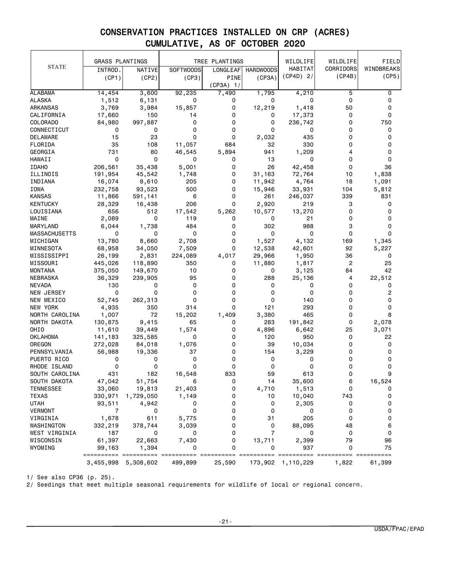|                      | <b>GRASS PLANTINGS</b> |                     |                  | TREE PLANTINGS |                  | WILDLIFE          | WILDLIFE       | FIELD      |
|----------------------|------------------------|---------------------|------------------|----------------|------------------|-------------------|----------------|------------|
| <b>STATE</b>         | INTROD.                | NATIVE              | <b>SOFTWOODS</b> | LONGLEAF       | <b>HARDWOODS</b> | HABITAT           | CORRIDORS      | WINDBREAKS |
|                      | (CP1)                  | (CP2)               | (CP3)            | PINE           | (CP3A)           | $(CP4D)$ 2/       | (CP4B)         | (CP5)      |
|                      |                        |                     |                  | $(CP3A)$ 1/    |                  |                   |                |            |
| <b>ALABAMA</b>       | 14, 454                | 3,600               | 92,235           | 7,490          | 1,795            | 4,210             | 5              | 0          |
| <b>ALASKA</b>        | 1,512                  | 6,131               | 0                | 0              | 0                | 0                 | 0              | 0          |
| ARKANSAS             | 3,769                  | 3,984               | 15,857           | 0              | 12,219           | 1,418             | 50             | 0          |
| CALIFORNIA           | 17,660                 | 150                 | 14               | 0              | 0                | 17,373            | 0              | 0          |
| COLORADO             | 84,980                 | 997,887             | 0                | 0              | 0                | 236,742           | 0              | 750        |
| CONNECTICUT          | 0                      | 0                   | 0                | 0              | 0                | 0                 | 0              | 0          |
| DELAWARE             | 15                     | 23                  | 0                | 0              | 2,032            | 435               | 0              | 0          |
| FLORIDA              | 35                     | 108                 | 11,057           | 684            | 32               | 330               | 0              | 0          |
| GEORGIA              | 731                    | 80                  | 46,545           | 5,894          | 941              | 1,209             | 4              | 0          |
| <b>HAWAII</b>        | $\Omega$               | $\mathbf 0$         | 0                | 0              | 13               | 0                 | $\Omega$       | 0          |
| <b>IDAHO</b>         | 206,561                | 35,438              | 5,001            | 0              | 26               | 42,458            | 0              | 36         |
| ILLINOIS             | 191,954                | 45,542              | 1,748            | 0              | 31,163           | 72,764            | 10             | 1,838      |
| INDIANA              | 16,074                 | 8,610               | 205              | 0              | 11,942           | 4,764             | 18             | 1,091      |
| IOWA                 | 232,758                | 93,523              | 500              | 0              | 15,946           | 33,931            | 104            | 5,812      |
| <b>KANSAS</b>        | 11,866                 | 591,141             | 6                | 0              | 261              | 246,037           | 339            | 831        |
| <b>KENTUCKY</b>      | 28,329                 | 16,438              | 206              | 0              | 2,920            | 219               | 3              | 0          |
| LOUISIANA            | 656                    | 512                 | 17,542           | 5,262          | 10,577           | 13,270            | 0              | 0          |
| MAINE                | 2,089                  | 0                   | 119              | 0              | 0                | 21                | 0              | 0          |
| MARYLAND             | 6,044                  | 1,738               | 484              | 0              | 302              | 988               | 3              | 0          |
| <b>MASSACHUSETTS</b> | 0                      | 0                   | 0                | 0              | 0                | 0                 | 0              | 0          |
| MICHIGAN             | 13,780                 | 8,660               | 2,708            | 0              | 1,527            | 4,132             | 169            | 1,345      |
| MINNESOTA            | 68,958                 | 34,050              | 7,509            | 0              | 12,538           | 42,601            | 92             | 5,227      |
| MISSISSIPPI          | 26,199                 | 2,831               | 224,089          | 4,017          | 29,966           | 1,950             | 36             | 0          |
| MISSOURI             | 445,026                | 118,890             | 350              | 0              | 11,880           | 1,817             | $\overline{c}$ | 25         |
| MONTANA              | 375,050                | 149,670             | 10               | 0              | 0                | 3,125             | 84             | 42         |
| NEBRASKA             | 36,329                 | 239,905             | 95               | 0              | 288              | 25,136            | 4              | 22,512     |
| <b>NEVADA</b>        | 130                    | 0                   | 0                | 0              | 0                | 0                 | 0              | 0          |
| NEW JERSEY           | 0                      | 0                   | 0                | 0              | 0                | 0                 | 0              | 2          |
| NEW MEXICO           | 52,745                 | 262,313             | 0                | 0              | 0                | 140               | 0              | 0          |
| NEW YORK             | 4,935                  | 350                 | 314              | 0              | 121              | 293               | 0              | 0          |
| NORTH CAROLINA       | 1,007                  | 72                  | 15,202           | 1,409          | 3,380            | 465               | 0              | 8          |
| NORTH DAKOTA         | 130,875                | 9,415               | 65               | 0              | 283              | 191,842           | 0              | 2,078      |
| OHIO                 | 11,610                 | 39,449              | 1,574            | 0              | 4,896            | 6,642             | 25             | 3,071      |
| <b>OKLAHOMA</b>      | 141,183                | 325,585             | 0                | 0              | 120              | 950               | 0              | 22         |
| OREGON               | 272,028                | 84,018              | 1,076            | 0              | 39               | 10,034            | 0              | 0          |
| PENNSYLVANIA         | 56,988                 | 19,336              | 37               | 0              | 154              | 3,229             | 0              | 0          |
| PUERTO RICO          | 0                      | 0                   | 0                | 0              | 0                | 0                 | 0              | 0          |
| RHODE ISLAND         | 0                      | 0                   | 0                | 0              | 0                | 0                 | 0              | 0          |
| SOUTH CAROLINA       | 431                    | 182                 | 16,548           | 833            | 59               | 613               | 0              | 9          |
| SOUTH DAKOTA         | 47,042                 | 51,754              | 6                | 0              | 14               | 35,600            | 6              | 16,524     |
| <b>TENNESSEE</b>     | 33,060                 | 19,813              | 21,403           | 0              | 4,710            | 1,513             | 0              | 0          |
| <b>TEXAS</b>         | 330,971                | 1,729,050           | 1,149            | 0              | 10               | 10,040            | 743            | 0          |
| <b>UTAH</b>          | 93,511                 | 4,942               | 0                | 0              | 0                | 2,305             | 0              | 0          |
| <b>VERMONT</b>       | 7                      | 0                   | 0                | 0              | 0                | 0                 | 0              | 0          |
| VIRGINIA             | 1,678                  | 611                 | 5,775            | 0              | 31               | 205               | 0              | 0          |
| WASHINGTON           | 332,219                | 378,744             | 3,039            | 0              | 0                | 88,095            | 48             | 6          |
| WEST VIRGINIA        | 187                    | 0                   | 0                | 0              | $\overline{7}$   | 0                 | 0              | 0          |
| WISCONSIN            | 61,397                 | 22,663              | 7,430            | 0              | 13,711           | 2,399             | 79             | 96         |
| WYOMING              | 99,163                 | 1,394               | 0                | 0              | 0                | 937               | $\mathbf 0$    | 75         |
|                      | =================      |                     |                  |                |                  |                   |                | ====       |
|                      |                        | 3,455,998 5,308,602 | 499,899          | 25,590         |                  | 173,902 1,110,229 | 1,822          | 61,399     |

1/ See also CP36 (p. 25).

2/ Seedings that meet multiple seasonal requirements for wildlife of local or regional concern.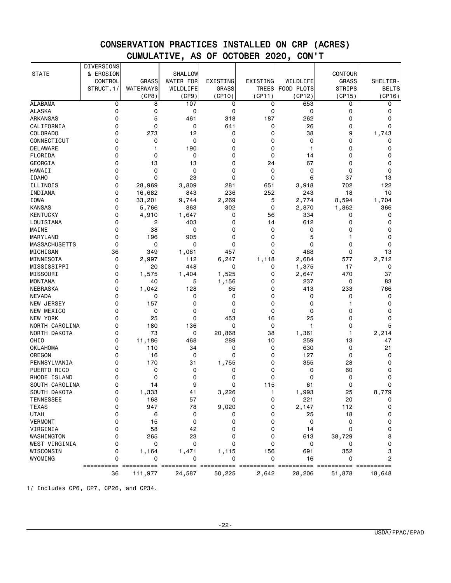|                            | DIVERSIONS  |              |                  |              |              |              |               |              |
|----------------------------|-------------|--------------|------------------|--------------|--------------|--------------|---------------|--------------|
| <b>STATE</b>               | & EROSION   |              | SHALLOW          |              |              |              | CONTOUR       |              |
|                            | CONTROL     | <b>GRASS</b> | <b>WATER FOR</b> | EXISTING     | EXISTING     | WILDLIFE     | GRASS         | SHELTER-     |
|                            | STRUCT.1/   | WATERWAYS    | WILDLIFE         | <b>GRASS</b> | <b>TREES</b> | FOOD PLOTS   | <b>STRIPS</b> | <b>BELTS</b> |
|                            |             | (CP8)        | (CP9)            | (CP10)       | (CP11)       | (CP12)       | (CP15)        | (CP16)       |
| <b>ALABAMA</b>             | 0           | 8            | 107              | 0            | 0            | 653          | 0             | 0            |
| <b>ALASKA</b>              | $\mathbf 0$ | 0            | 0                | 0            | 0            | 0            | 0             | 0            |
| <b>ARKANSAS</b>            | 0           | 5            | 461              | 318          | 187          | 262          | 0             | 0            |
| CALIFORNIA                 | 0           | 0            | 0                | 641          | 0            | 26           | 0             | 0            |
| <b>COLORADO</b>            | 0           | 273          | 12               | 0            | 0            | 38           | 9             | 1,743        |
| CONNECTICUT                | 0           | 0            | 0                | 0            | 0            | 0            | 0             | 0            |
| DELAWARE                   | 0           | 1            | 190              | 0            | 0            | $\mathbf{1}$ | 0             | 0            |
| FLORIDA                    | $\Omega$    | 0            | 0                | 0            | 0            | 14           | 0             | $\mathbf 0$  |
| <b>GEORGIA</b>             | 0           | 13           | 13               | 0            | 24           | 67           | 0             | 0            |
| <b>HAWAII</b>              | 0           | 0            | 0                | 0            | 0            | 0            | 0             | 0            |
| <b>IDAHO</b>               | $\Omega$    | 0            | 23               | 0            | 0            | 6            | 37            | 13           |
| ILLINOIS                   | 0           | 28,969       | 3,809            | 281          | 651          | 3,918        | 702           | 122          |
| INDIANA                    | 0           | 16,682       | 843              | 236          | 252          | 243          | 18            | 10           |
| <b>IOWA</b>                | $\mathbf 0$ | 33,201       | 9,744            | 2,269        | 5            | 2,774        | 8,594         | 1,704        |
| <b>KANSAS</b>              | $\mathbf 0$ | 5,766        | 863              | 302          | 0            | 2,870        | 1,862         | 366          |
| <b>KENTUCKY</b>            | 0           | 4,910        | 1,647            | 0            | 56           | 334          | 0             | 0            |
| LOUISIANA                  | $\Omega$    | 2            | 403              | 0            | 14           | 612          | 0             | $\mathbf 0$  |
| MAINE                      | 0           | 38           | 0                | 0            | 0            | 0            | 0             | 0            |
| MARYLAND                   | 0           | 196          | 905              | 0            | 0            | 5            | 1             | $\mathbf 0$  |
| <b>MASSACHUSETTS</b>       | $\mathbf 0$ | 0            | 0                | 0            | 0            | 0            | 0             | 0            |
| MICHIGAN                   | 36          | 349          | 1,081            | 457          | 0            | 488          | 0             | 13           |
| MINNESOTA                  | 0           | 2,997        | 112              | 6,247        | 1,118        | 2,684        | 577           | 2,712        |
| MISSISSIPPI                | 0           | 20           | 448              | 0            | 0            | 1,375        | 17            | 0            |
| MISSOURI                   | 0           | 1,575        | 1,404            | 1,525        | 0            | 2,647        | 470           | 37           |
| <b>MONTANA</b>             | 0           | 40           | 5                | 1,156        | 0            | 237          | 0             | 83           |
| <b>NEBRASKA</b>            | 0           | 1,042        | 128              | 65           | 0            | 413          | 233           | 766          |
| <b>NEVADA</b>              | 0           | 0            | 0                | 0            | 0            | 0            | 0             | 0            |
| NEW JERSEY                 | 0           | 157          | 0                | 0            | 0            | 0            | 1             | 0            |
| NEW MEXICO                 | 0           | 0            | 0                | 0            | 0            | $\mathbf 0$  | 0             | 0            |
| NEW YORK                   | 0           | 25           | 0                | 453          | 16           | 25           | 0             | 0            |
| NORTH CAROLINA             | 0           | 180          | 136              | 0            | 0            | $\mathbf{1}$ | 0             | 5            |
| NORTH DAKOTA               | 0           | 73           | 0                | 20,868       | 38           | 1,361        | 1             | 2,214        |
| OHIO                       | $\mathbf 0$ | 11,186       | 468              | 289          | 10           | 259          | 13            | 47           |
| <b>OKLAHOMA</b>            | 0           | 110          | 34               | 0            | 0            | 630          | 0             | 21           |
| OREGON                     | 0           | 16           | 0                | 0            | 0            | 127          | 0             | 0            |
| PENNSYLVANIA               | 0           | 170          | 31               | 1,755        | 0            | 355          | 28            | 0            |
| PUERTO RICO                | 0           | 0            | 0                | 0            | 0            | 0            | 60            | 0            |
| RHODE ISLAND               | 0           | 0            | 0                | 0            | 0            | 0            | 0             | 0            |
| SOUTH CAROLINA             | 0           | 14           | 9                | 0            | 115          | 61           | 0             | 0            |
| SOUTH DAKOTA               | 0           | 1,333        | 41               | 3,226        | 1            | 1,993        | 25            | 8,779        |
| <b>TENNESSEE</b>           | 0           | 168          | 57               | 0            | 0            | 221          | 20            | 0            |
| <b>TEXAS</b>               | $\mathbf 0$ | 947          | 78               | 9,020        | 0            | 2,147        | 112           | 0            |
| <b>UTAH</b>                | 0           | 6            | 0                | 0            | 0            | 25           | 18            | 0            |
| <b>VERMONT</b>             | 0           | 15           | 0                | 0            | 0            | 0            | 0             | 0            |
| VIRGINIA                   | $\mathbf 0$ | 58           | 42               | 0            | 0            | 14           | 0             | 0            |
| WASHINGTON                 | 0           | 265          | 23               | 0            | 0            | 613          | 38,729        | 8            |
|                            | 0           | 0            | 0                | 0            | 0            |              | 0             | 0            |
| WEST VIRGINIA<br>WISCONSIN | 0           |              | 1,471            |              |              | 0            |               |              |
| WYOMING                    | 0           | 1,164<br>0   | 0                | 1,115<br>0   | 156<br>0     | 691<br>16    | 352<br>0      | 3<br>2       |
|                            | ==========  |              |                  |              |              |              |               |              |
|                            | 36          | 111,977      | 24,587           | 50,225       | 2,642        | 28,206       | 51,878        | 18,648       |

1/ Includes CP6, CP7, CP26, and CP34.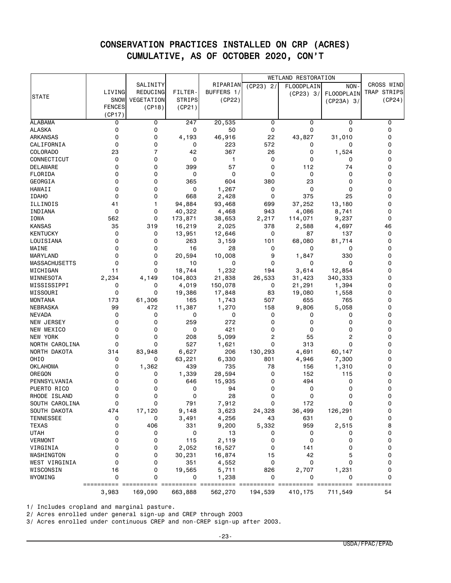|                      |               |                |               |              |              | <b>WETLAND RESTORATION</b> |                |             |
|----------------------|---------------|----------------|---------------|--------------|--------------|----------------------------|----------------|-------------|
|                      |               | SALINITY       |               | RIPARIAN     | (CP23)<br>2/ | FLOODPLAIN                 | NON-           | CROSS WIND  |
|                      | LIVING        | REDUCING       | FILTER-       | BUFFERS 1/   |              | (CP23) 3/                  | FLOODPLAIN     | TRAP STRIPS |
| <b>STATE</b>         | <b>SNOW</b>   | VEGETATION     | <b>STRIPS</b> | (CP22)       |              |                            | (CP23A) 3/     | (CP24)      |
|                      | <b>FENCES</b> | (CP18)         | (CP21)        |              |              |                            |                |             |
|                      | (CP17)        |                |               |              |              |                            |                |             |
| <b>ALABAMA</b>       | 0             | 0              | 247           | 20,535       | 0            | 0                          | 0              | 0           |
| <b>ALASKA</b>        | 0             | 0              | 0             | 50           | 0            | 0                          | 0              | 0           |
| <b>ARKANSAS</b>      | 0             | 0              | 4,193         | 46,916       | 22           | 43,827                     | 31,010         | 0           |
| CALIFORNIA           | 0             | 0              | 0             | 223          | 572          | 0                          | 0              | 0           |
| COLORADO             | 23            | $\overline{7}$ | 42            | 367          | 26           | 0                          | 1,524          | 0           |
| CONNECTICUT          | 0             | 0              | 0             | $\mathbf{1}$ | 0            | 0                          | 0              | 0           |
| <b>DELAWARE</b>      | 0             | 0              | 399           | 57           | 0            | 112                        | 74             | 0           |
| FLORIDA              | 0             | 0              | 0             | 0            | 0            | 0                          | 0              | 0           |
| GEORGIA              | 0             | 0              | 365           | 604          | 380          | 23                         | $\Omega$       | 0           |
| HAWAII               | 0             | 0              | 0             | 1,267        | 0            | 0                          | 0              | 0           |
| <b>IDAHO</b>         | 0             | 0              | 668           | 2,428        | 0            | 375                        | 25             | 0           |
| ILLINOIS             | 41            | 1              | 94,884        | 93,468       | 699          | 37,252                     | 13,180         | 0           |
| INDIANA              | 0             | 0              | 40,322        | 4,468        | 943          | 4,086                      | 8,741          | 0           |
| IOWA                 | 562           | 0              | 173,871       | 38,653       | 2,217        | 114,071                    | 9,237          | 0           |
| <b>KANSAS</b>        | 35            | 319            | 16,219        | 2,025        | 378          | 2,588                      | 4,697          | 46          |
| <b>KENTUCKY</b>      | 0             | 0              | 13,951        | 12,646       | 0            | 87                         | 137            | 0           |
| LOUISIANA            | 0             | 0              | 263           | 3,159        | 101          | 68,080                     | 81,714         | 0           |
| MAINE                | 0             | 0              | 16            | 28           | 0            | 0                          | 0              | 0           |
| MARYLAND             | 0             | 0              | 20,594        | 10,008       | 9            | 1,847                      | 330            | 0           |
| <b>MASSACHUSETTS</b> | 0             | 0              | 10            | 0            | 0            | 0                          | 0              | 0           |
| MICHIGAN             | 11            | 0              | 18,744        | 1,232        | 194          | 3,614                      | 12,854         | 0           |
| MINNESOTA            | 2,234         | 4,149          | 104,803       | 21,838       | 26,533       | 31,423                     | 340,333        | 0           |
| MISSISSIPPI          | 0             | 0              | 4,019         | 150,078      | 0            | 21,291                     | 1,394          | 0           |
| MISSOURI             | 0             | 0              | 19,386        | 17,848       | 83           | 19,080                     | 1,558          | 0           |
| <b>MONTANA</b>       | 173           | 61,306         | 165           | 1,743        | 507          | 655                        | 765            | 0           |
| NEBRASKA             | 99            | 472            | 11,387        | 1,270        | 158          | 9,806                      | 5,058          | 0           |
| NEVADA               | 0             | 0              | 0             | 0            | 0            | 0                          | 0              | 0           |
| NEW JERSEY           | 0             | 0              | 259           | 272          | 0            | 0                          | 0              | 0           |
| NEW MEXICO           | 0             | 0              | 0             | 421          | 0            | 0                          | 0              | 0           |
| <b>NEW YORK</b>      | 0             | 0              | 208           | 5,099        | 2            | 55                         | $\overline{c}$ | 0           |
| NORTH CAROLINA       | 0             | 0              | 527           | 1,621        | 0            | 313                        | 0              | 0           |
| NORTH DAKOTA         | 314           | 83,948         | 6,627         | 206          | 130,293      | 4,691                      | 60,147         | 0           |
| OHIO                 | 0             | 0              | 63,221        | 6,330        | 801          | 4,946                      | 7,300          | 0           |
| <b>OKLAHOMA</b>      | 0             | 1,362          | 439           | 735          | 78           | 156                        | 1,310          | 0           |
| OREGON               | 0             | 0              | 1,339         | 28,594       | 0            | 152                        | 115            | 0           |
| PENNSYLVANIA         | 0             | 0              | 646           | 15,935       | 0            | 494                        | 0              | 0           |
| PUERTO RICO          | 0             | 0              | 0             | 94           | 0            | 0                          | 0              | 0           |
| RHODE ISLAND         | 0             | 0              | 0             | 28           | 0            | 0                          | $\Omega$       | 0           |
| SOUTH CAROLINA       | 0             | 0              | 791           | 7,912        | 0            | 172                        | 0              | 0           |
| SOUTH DAKOTA         | 474           | 17,120         | 9,148         | 3,623        | 24,328       | 36,499                     | 126,291        | 0           |
| <b>TENNESSEE</b>     | 0             | 0              | 3,491         | 4,256        | 43           | 631                        | 0              | 0           |
| <b>TEXAS</b>         | 0             | 406            | 331           | 9,200        | 5,332        | 959                        | 2,515          | 8           |
| <b>UTAH</b>          | 0             | 0              | 0             | 13           | 0            | 0                          | 0              | 0           |
| <b>VERMONT</b>       | 0             | 0              | 115           | 2,119        | 0            | 0                          | 0              | 0           |
| VIRGINIA             | 0             | 0              | 2,052         | 16,527       | 0            | 141                        | 0              | 0           |
| WASHINGTON           | 0             | 0              | 30,231        | 16,874       | 15           | 42                         | 5              | 0           |
| WEST VIRGINIA        | 0             | 0              | 351           | 4,552        | 0            | 0                          | $\Omega$       | 0           |
| WISCONSIN            | 16            | 0              | 19,565        | 5,711        | 826          | 2,707                      | 1,231          | 0           |
| WYOMING              | 0             | 0              | 0             | 1,238        | 0            | 0                          | 0              | 0           |
|                      | ==========    |                |               |              | essessess    |                            |                |             |
|                      | 3,983         | 169,090        | 663,888       | 562,270      | 194,539      | 410,175                    | 711,549        | 54          |

1/ Includes cropland and marginal pasture.

2/ Acres enrolled under general sign-up and CREP through 2003

3/ Acres enrolled under continuous CREP and non-CREP sign-up after 2003.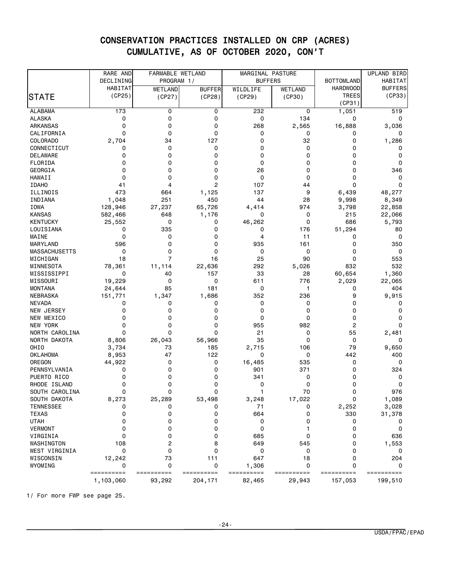|                      | RARE AND   | FARMABLE WETLAND |               | MARGINAL PASTURE |            |                   | UPLAND BIRD    |
|----------------------|------------|------------------|---------------|------------------|------------|-------------------|----------------|
|                      | DECLINING  | PROGRAM 1/       |               | <b>BUFFERS</b>   |            | <b>BOTTOMLAND</b> | HABITAT        |
|                      | HABITAT    | WETLAND          | <b>BUFFER</b> | WILDLIFE         | WETLAND    | <b>HARDWOOD</b>   | <b>BUFFERS</b> |
| <b>STATE</b>         | (CP25)     | (CP27)           | (CP28)        | (CP29)           | (CP30)     | TREES             | (CP33)         |
|                      |            |                  |               |                  |            | (CP31)            |                |
| <b>ALABAMA</b>       | 173        | 0                | 0             | 232              | 0          | 1,051             | 519            |
| <b>ALASKA</b>        | 0          | 0                | 0             | 0                | 134        | 0                 | 0              |
| <b>ARKANSAS</b>      | 0          | 0                | 0             | 268              | 2,565      | 16,888            | 3,036          |
| CALIFORNIA           | 0          | 0                | 0             | 0                | 0          | 0                 | 0              |
| COLORADO             | 2,704      | 34               | 127           | 0                | 32         | 0                 | 1,286          |
| CONNECTICUT          | 0          | 0                | 0             | 0                | 0          | 0                 | 0              |
| <b>DELAWARE</b>      | 0          | 0                | 0             | 0                | 0          | 0                 | 0              |
| FLORIDA              | 0          | 0                | 0             | 0                | 0          | 0                 | 0              |
| GEORGIA              | 0          | 0                | 0             | 26               | 0          | 0                 | 346            |
| HAWAII               | 0          | 0                | 0             | 0                | 0          | 0                 | 0              |
| <b>IDAHO</b>         | 41         | 4                | 2             | 107              | 44         | 0                 | 0              |
| ILLINOIS             | 473        | 664              | 1,125         | 137              | 9          | 6,439             | 48,277         |
| INDIANA              | 1,048      | 251              | 450           | 44               | 28         | 9,998             | 8,349          |
| IOWA                 | 128,946    | 27,237           | 65,726        | 4,414            | 974        | 3,798             | 22,858         |
| <b>KANSAS</b>        | 582,466    | 648              | 1,176         | 0                | 0          | 215               | 22,066         |
| <b>KENTUCKY</b>      | 25,552     | 0                | 0             | 46,262           | 0          | 686               | 5,793          |
| LOUISIANA            | 0          | 335              | 0             | 0                | 176        | 51,294            | 80             |
| MAINE                | 0          | 0                | 0             | 4                | 11         | 0                 | 0              |
| MARYLAND             | 596        | 0                | 0             | 935              | 161        | 0                 | 350            |
| <b>MASSACHUSETTS</b> | 0          | 0                | 0             | 0                | 0          | 0                 | 0              |
| MICHIGAN             | 18         | $\overline{7}$   | 16            | 25               | 90         | 0                 | 553            |
| MINNESOTA            | 78,361     | 11,114           | 22,636        | 292              | 5,026      | 832               | 532            |
| MISSISSIPPI          | 0          | 40               | 157           | 33               | 28         | 60,654            | 1,360          |
| MISSOURI             | 19,229     | 0                | 0             | 611              | 776        | 2,029             | 22,065         |
| <b>MONTANA</b>       | 24,644     | 85               | 181           | 0                | 1          | 0                 | 404            |
| NEBRASKA             | 151,771    | 1,347            | 1,686         | 352              | 236        | 9                 | 9,915          |
| <b>NEVADA</b>        | 0          | 0                | 0             | 0                | 0          | 0                 | 0              |
| <b>NEW JERSEY</b>    | 0          | 0                | 0             | 0                | 0          | 0                 | 0              |
| NEW MEXICO           | 0          | 0                | 0             | 0                | 0          | 0                 | 0              |
| <b>NEW YORK</b>      | Ω          | 0                | 0             | 955              | 982        | 2                 | 0              |
| NORTH CAROLINA       | 0          | 0                | 0             | 21               | 0          | 55                | 2,481          |
| NORTH DAKOTA         | 8,806      | 26,043           | 56,966        | 35               | 0          | 0                 | 0              |
| OHIO                 | 3,734      | 73               | 185           | 2,715            | 106        | 79                | 9,650          |
| <b>OKLAHOMA</b>      | 8,953      | 47               | 122           | 0                | 0          | 442               | 400            |
| OREGON               | 44,922     | 0                | 0             | 16,485           | 535        | 0                 | 0              |
| PENNSYLVANIA         | 0          | 0                | 0             | 901              | 371        | 0                 | 324            |
| PUERTO RICO          | 0          | 0                | 0             | 341              | 0          | 0                 | 0              |
| RHODE ISLAND         | 0          | 0                | 0             | 0                | 0          | 0                 | 0              |
| SOUTH CAROLINA       | 0          | 0                | 0             | 1                | 70         | 0                 | 976            |
| SOUTH DAKOTA         | 8,273      | 25,289           | 53,498        | 3,248            | 17,022     | 0                 | 1,089          |
| <b>TENNESSEE</b>     | 0          | 0                | 0             | 71               | 0          | 2,252             | 3,028          |
| <b>TEXAS</b>         | 0          | 0                | 0             | 664              | 0          | 330               | 31,378         |
| <b>UTAH</b>          | 0          | 0                | 0             | 0                | 0          | 0                 | 0              |
| <b>VERMONT</b>       | 0          | 0                | 0             | 0                | 1          | 0                 | 0              |
| VIRGINIA             | 0          | 0                | 0             | 685              | 0          | 0                 | 636            |
| WASHINGTON           | 108        | 2                | 8             | 649              | 545        | 0                 | 1,553          |
| WEST VIRGINIA        | 0          | 0                | 0             | 0                | 0          | 0                 | 0              |
| WISCONSIN            | 12,242     | 73               | 111           | 647              | 18         | 0                 | 204            |
| WYOMING              | 0          | 0                | 0             | 1,306            | 0          | 0                 | 0              |
|                      | ========== | ==========       | ==========    | ==========       | ========== | ==========        | ==========     |
|                      | 1,103,060  | 93,292           | 204,171       | 82,465           | 29,943     | 157,053           | 199,510        |

1/ For more FWP see page 25.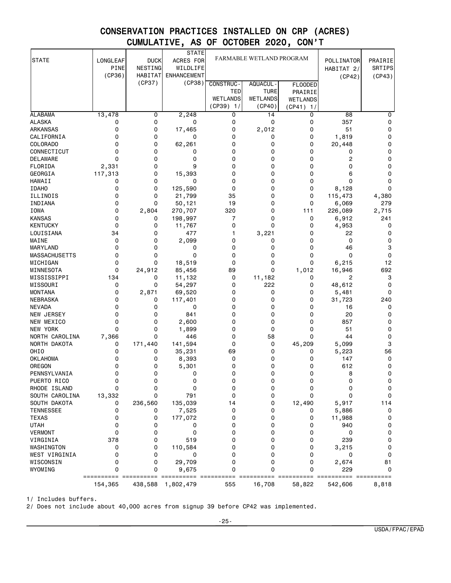| <b>STATE</b>         | LONGLEAF    | <b>DUCK</b>    | <b>STATE</b><br>ACRES FOR |                 | FARMABLE WETLAND PROGRAM |                 | POLLINATOR     | PRAIRIE |
|----------------------|-------------|----------------|---------------------------|-----------------|--------------------------|-----------------|----------------|---------|
|                      | <b>PINE</b> | NESTING        | WILDLIFE                  |                 |                          |                 | HABITAT 2/     | SRTIPS  |
|                      | (CP36)      | <b>HABITAT</b> | <b>ENHANCEMENT</b>        |                 |                          |                 | (CP42)         | (CP43)  |
|                      |             | (CP37)         | (CP38)                    | CONSTRUC-       | AQUACUL -                | <b>FLOODED</b>  |                |         |
|                      |             |                |                           | TED             | <b>TURE</b>              | PRAIRIE         |                |         |
|                      |             |                |                           | <b>WETLANDS</b> | <b>WETLANDS</b>          | <b>WETLANDS</b> |                |         |
|                      |             |                |                           | $(CP39)$ 1/     | (CP40)                   | (CP41) 1/       |                |         |
| <b>ALABAMA</b>       | 13,478      | 0              | 2,248                     | 0               | 14                       | 0               | 88             | 0       |
| <b>ALASKA</b>        | 0           | 0              | 0                         | 0               | 0                        | 0               | 357            | 0       |
| <b>ARKANSAS</b>      | 0           | 0              | 17,465                    | 0               | 2,012                    | 0               | 51             | 0       |
| CALIFORNIA           | 0           | 0              | 0                         | 0               | 0                        | 0               | 1,819          | 0       |
| COLORADO             | 0           | 0              | 62,261                    | 0               | 0                        | 0               | 20,448         | 0       |
| CONNECTICUT          | 0           | 0              | 0                         | 0               | 0                        | 0               | 0              | 0       |
| DELAWARE             | 0           | 0              | 0                         | 0               | 0                        | 0               | 2              | 0       |
| FLORIDA              | 2,331       | 0              | 9                         | 0               | 0                        | 0               | 0              | 0       |
| GEORGIA              | 117,313     | 0              | 15,393                    | $\Omega$        | 0                        | 0               | 6              | 0       |
| HAWAII               | 0           | 0              | 0                         | 0               | 0                        | 0               | 0              | 0       |
| <b>IDAHO</b>         | 0           | 0              | 125,590                   | 0               | 0                        | 0               | 8,128          | 0       |
| ILLINOIS             | 0           | 0              | 21,799                    | 35              | 0                        | 0               | 115,473        | 4,380   |
| INDIANA              | 0           | 0              | 50,121                    | 19              | 0                        | 0               | 6,069          | 279     |
| <b>IOWA</b>          | 0           | 2,804          | 270,707                   | 320             | 0                        | 111             | 226,089        | 2,715   |
| <b>KANSAS</b>        | 0           | 0              | 198,997                   | 7               | 0                        | 0               | 6,912          | 241     |
| <b>KENTUCKY</b>      | 0           | 0              | 11,767                    | 0               | 0                        | 0               | 4,953          | 0       |
| LOUISIANA            | 34          | 0              | 477                       | 1               | 3,221                    | 0               | 22             | 0       |
| MAINE                | 0           | 0              | 2,099                     | 0               | 0                        | 0               | 0              | 0       |
| MARYLAND             | 0           | 0              | 0                         | 0               | 0                        | 0               | 46             | 3       |
| <b>MASSACHUSETTS</b> | 0           | 0              | 0                         | 0               | 0                        | 0               | 0              | 0       |
| MICHIGAN             | 0           | 0              | 18,519                    | $\mathbf 0$     | 0                        | 0               | 6,215          | 12      |
| MINNESOTA            | 0           | 24,912         | 85,456                    | 89              | 0                        | 1,012           | 16,946         | 692     |
| MISSISSIPPI          | 134         | 0              | 11,132                    | 0               | 11,182                   | 0               | $\overline{c}$ | 3       |
| MISSOURI             | 0           | 0              | 54,297                    | 0               | 222                      | 0               | 48,612         | 0       |
| <b>MONTANA</b>       | 0           | 2,871          | 69,520                    | 0               | 0                        | 0               | 5,481          | 0       |
| NEBRASKA             | 0           | 0              | 117,401                   | 0               | 0                        | 0               | 31,723         | 240     |
| <b>NEVADA</b>        | 0           | 0              | 0                         | 0               | 0                        | 0               | 16             | 0       |
| NEW JERSEY           | 0           | 0              | 841                       | 0               | 0                        | 0               | 20             | 0       |
| NEW MEXICO           | 0           | 0              | 2,600                     | 0               | 0                        | 0               | 857            | 0       |
| <b>NEW YORK</b>      | 0           | 0              | 1,899                     | 0               | 0                        | 0               | 51             | 0       |
| NORTH CAROLINA       | 7,366       | 0              | 446                       | 0               | 58                       | 0               | 44             | 0       |
| NORTH DAKOTA         | 0           | 171,440        | 141,594                   | 0               | 0                        | 45,209          | 5,099          | 3       |
| OHIO                 | 0           | 0              | 35,231                    | 69              | 0                        | 0               | 5,223          | 56      |
| <b>OKLAHOMA</b>      | 0           | 0              | 8,393                     | 0               | 0                        | 0               | 147            | 0       |
| OREGON               | 0           | 0              | 5,301                     | 0               | 0                        | 0               | 612            | 0       |
| PENNSYLVANIA         | 0           | 0              | 0                         | 0               | 0                        | 0               | 8              | 0       |
| PUERTO RICO          | 0           | 0              | 0                         | 0               | 0                        | 0               | 0              | 0       |
| RHODE ISLAND         | 0           | 0              | 0                         | 0               | 0                        | 0               | 0              | 0       |
| SOUTH CAROLINA       | 13,332      | 0              | 791                       | 0               | 0                        | 0               | 0              | 0       |
| SOUTH DAKOTA         | 0           | 236,560        | 135,039                   | 14              | 0                        | 12,490          | 5,917          | 114     |
| <b>TENNESSEE</b>     | 0           | 0              | 7,525                     | 0               | 0                        | 0               | 5,886          | 0       |
| <b>TEXAS</b>         | 0           | 0              | 177,072                   | 0               | 0                        | 0               | 11,988         | 0       |
| <b>UTAH</b>          | 0           | 0              | 0                         | 0               | 0                        | 0               | 940            | 0       |
| <b>VERMONT</b>       | 0           | 0              | 0                         | 0               | 0                        | 0               | 0              | 0       |
| VIRGINIA             | 378         | 0              | 519                       | 0               | 0                        | 0               | 239            | 0       |
| WASHINGTON           | 0           | 0              | 110,584                   | 0               | 0                        | 0               | 3,215          | 0       |
| WEST VIRGINIA        | 0           | 0              | 0                         | 0               | 0                        | 0               | 0              | 0       |
| WISCONSIN            | 0           | 0              | 29,709                    | 0               | 0                        | 0               | 2,674          | 81      |
| WYOMING              | 0           | 0              | 9,675                     | 0               | 0                        | 0               | 229            | 0       |
|                      | 154,365     | 438,588        | 1,802,479                 | 555             | 16,708                   | 58,822          | 542,606        | 8,818   |

1/ Includes buffers.

2/ Does not include about 40,000 acres from signup 39 before CP42 was implemented.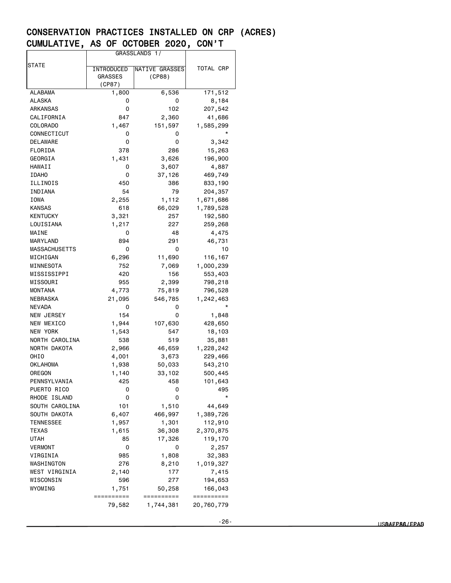|                      |                | GRASSLANDS 1/  |            |
|----------------------|----------------|----------------|------------|
| STATE                |                |                |            |
|                      | INTRODUCED     | NATIVE GRASSES | TOTAL CRP  |
|                      | <b>GRASSES</b> | (CP88)         |            |
|                      | (CP87)         |                |            |
| <b>ALABAMA</b>       | 1,800          | 6,536          | 171,512    |
| ALASKA               | 0              | 0              | 8,184      |
| ARKANSAS             | 0              | 102            | 207,542    |
| CALIFORNIA           | 847            | 2,360          | 41,686     |
| COLORADO             | 1,467          | 151,597        | 1,585,299  |
| CONNECTICUT          | 0              | o              |            |
| DELAWARE             | 0              | 0              | 3,342      |
| FLORIDA              | 378            | 286            | 15,263     |
| GEORGIA              | 1,431          | 3,626          | 196,900    |
| HAWAII               | 0              | 3,607          | 4,887      |
| <b>IDAHO</b>         | 0              | 37,126         | 469,749    |
| ILLINOIS             | 450            | 386            | 833,190    |
| INDIANA              | 54             | 79             | 204,357    |
| IOWA                 | 2,255          | 1,112          | 1,671,686  |
| KANSAS               | 618            | 66,029         | 1,789,528  |
| <b>KENTUCKY</b>      | 3,321          | 257            | 192,580    |
| LOUISIANA            | 1,217          | 227            | 259,268    |
| MAINE                | 0              | 48             | 4,475      |
| MARYLAND             | 894            | 291            | 46,731     |
| <b>MASSACHUSETTS</b> | 0              | 0              | 10         |
| MICHIGAN             | 6,296          | 11,690         | 116,167    |
| MINNESOTA            | 752            | 7,069          | 1,000,239  |
| MISSISSIPPI          | 420            | 156            | 553,403    |
| MISSOURI             | 955            | 2,399          | 798,218    |
| MONTANA              | 4,773          | 75,819         | 796,528    |
| NEBRASKA             | 21,095         | 546,785        | 1,242,463  |
| NEVADA               | 0              | 0              | $^\star$   |
| NEW JERSEY           | 154            | 0              | 1,848      |
| NEW MEXICO           | 1,944          | 107,630        | 428,650    |
| NEW YORK             | 1,543          | 547            | 18,103     |
| NORTH CAROLINA       | 538            | 519            | 35,881     |
| NORTH DAKOTA         | 2,966          | 46,659         | 1,228,242  |
| OHIO                 | 4,001          | 3,673          | 229,466    |
| OKLAHOMA             | 1,938          | 50,033         | 543,210    |
| OREGON               | 1,140          | 33,102         | 500,445    |
| PENNSYLVANIA         | 425            | 458            | 101,643    |
| PUERTO RICO          | 0              | 0              | 495        |
| RHODE ISLAND         | 0              | 0              | $^\star$   |
| SOUTH CAROLINA       | 101            | 1,510          | 44,649     |
| SOUTH DAKOTA         | 6,407          | 466,997        | 1,389,726  |
| TENNESSEE            | 1,957          | 1,301          | 112,910    |
| TEXAS                | 1,615          | 36,308         | 2,370,875  |
| UTAH                 | 85             | 17,326         | 119,170    |
| <b>VERMONT</b>       | 0              | 0              | 2,257      |
| VIRGINIA             | 985            | 1,808          | 32,383     |
| WASHINGTON           | 276            | 8,210          | 1,019,327  |
| WEST VIRGINIA        | 2,140          | 177            | 7,415      |
| WISCONSIN            | 596            | 277            | 194,653    |
| WYOMING              | 1,751          | 50,258         | 166,043    |
|                      | ==========     | ==========     | ========== |
|                      | 79,582         | 1,744,381      | 20,760,779 |
|                      |                |                |            |